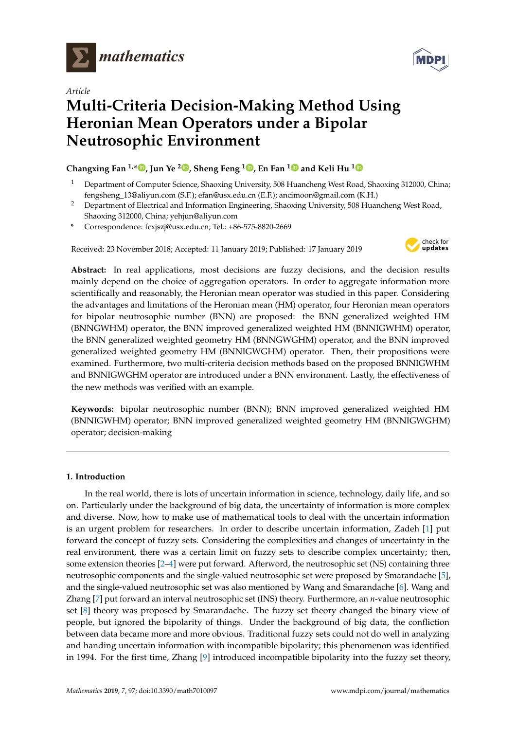

*Article*



# **Multi-Criteria Decision-Making Method Using Heronian Mean Operators under a Bipolar Neutrosophic Environment**

# **Changxing Fan 1,[\\*](https://orcid.org/0000-0001-5542-9590) , Jun Ye <sup>2</sup> [,](https://orcid.org/0000-0003-2841-6529) Sheng Feng <sup>1</sup> [,](https://orcid.org/0000-0002-3859-4516) En Fan [1](https://orcid.org/0000-0002-1354-1354) and Keli Hu [1](https://orcid.org/0000-0002-5628-7640)**

- <sup>1</sup> Department of Computer Science, Shaoxing University, 508 Huancheng West Road, Shaoxing 312000, China; fengsheng\_13@aliyun.com (S.F.); efan@usx.edu.cn (E.F.); ancimoon@gmail.com (K.H.)
- <sup>2</sup> Department of Electrical and Information Engineering, Shaoxing University, 508 Huancheng West Road, Shaoxing 312000, China; yehjun@aliyun.com
- **\*** Correspondence: fcxjszj@usx.edu.cn; Tel.: +86-575-8820-2669

Received: 23 November 2018; Accepted: 11 January 2019; Published: 17 January 2019



**Abstract:** In real applications, most decisions are fuzzy decisions, and the decision results mainly depend on the choice of aggregation operators. In order to aggregate information more scientifically and reasonably, the Heronian mean operator was studied in this paper. Considering the advantages and limitations of the Heronian mean (HM) operator, four Heronian mean operators for bipolar neutrosophic number (BNN) are proposed: the BNN generalized weighted HM (BNNGWHM) operator, the BNN improved generalized weighted HM (BNNIGWHM) operator, the BNN generalized weighted geometry HM (BNNGWGHM) operator, and the BNN improved generalized weighted geometry HM (BNNIGWGHM) operator. Then, their propositions were examined. Furthermore, two multi-criteria decision methods based on the proposed BNNIGWHM and BNNIGWGHM operator are introduced under a BNN environment. Lastly, the effectiveness of the new methods was verified with an example.

**Keywords:** bipolar neutrosophic number (BNN); BNN improved generalized weighted HM (BNNIGWHM) operator; BNN improved generalized weighted geometry HM (BNNIGWGHM) operator; decision-making

# **1. Introduction**

In the real world, there is lots of uncertain information in science, technology, daily life, and so on. Particularly under the background of big data, the uncertainty of information is more complex and diverse. Now, how to make use of mathematical tools to deal with the uncertain information is an urgent problem for researchers. In order to describe uncertain information, Zadeh [\[1\]](#page-14-0) put forward the concept of fuzzy sets. Considering the complexities and changes of uncertainty in the real environment, there was a certain limit on fuzzy sets to describe complex uncertainty; then, some extension theories [\[2](#page-14-1)[–4\]](#page-14-2) were put forward. Afterword, the neutrosophic set (NS) containing three neutrosophic components and the single-valued neutrosophic set were proposed by Smarandache [\[5\]](#page-14-3), and the single-valued neutrosophic set was also mentioned by Wang and Smarandache [\[6\]](#page-14-4). Wang and Zhang [\[7\]](#page-14-5) put forward an interval neutrosophic set (INS) theory. Furthermore, an *n*-value neutrosophic set [\[8\]](#page-14-6) theory was proposed by Smarandache. The fuzzy set theory changed the binary view of people, but ignored the bipolarity of things. Under the background of big data, the confliction between data became more and more obvious. Traditional fuzzy sets could not do well in analyzing and handing uncertain information with incompatible bipolarity; this phenomenon was identified in 1994. For the first time, Zhang [\[9\]](#page-14-7) introduced incompatible bipolarity into the fuzzy set theory,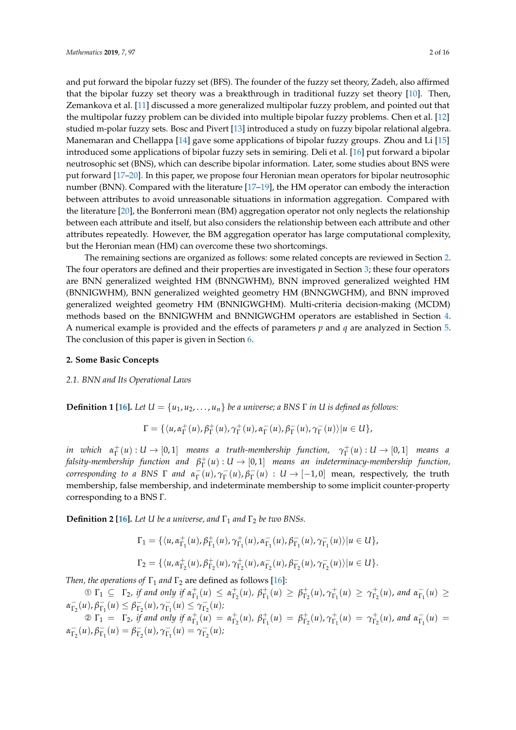and put forward the bipolar fuzzy set (BFS). The founder of the fuzzy set theory, Zadeh, also affirmed that the bipolar fuzzy set theory was a breakthrough in traditional fuzzy set theory [\[10\]](#page-14-8). Then, Zemankova et al. [\[11\]](#page-14-9) discussed a more generalized multipolar fuzzy problem, and pointed out that the multipolar fuzzy problem can be divided into multiple bipolar fuzzy problems. Chen et al. [\[12\]](#page-14-10) studied m-polar fuzzy sets. Bosc and Pivert [\[13\]](#page-14-11) introduced a study on fuzzy bipolar relational algebra. Manemaran and Chellappa [\[14\]](#page-14-12) gave some applications of bipolar fuzzy groups. Zhou and Li [\[15\]](#page-14-13) introduced some applications of bipolar fuzzy sets in semiring. Deli et al. [\[16\]](#page-14-14) put forward a bipolar neutrosophic set (BNS), which can describe bipolar information. Later, some studies about BNS were put forward [\[17](#page-14-15)[–20\]](#page-15-0). In this paper, we propose four Heronian mean operators for bipolar neutrosophic number (BNN). Compared with the literature [\[17–](#page-14-15)[19\]](#page-15-1), the HM operator can embody the interaction between attributes to avoid unreasonable situations in information aggregation. Compared with the literature [\[20\]](#page-15-0), the Bonferroni mean (BM) aggregation operator not only neglects the relationship between each attribute and itself, but also considers the relationship between each attribute and other

but the Heronian mean (HM) can overcome these two shortcomings. The remaining sections are organized as follows: some related concepts are reviewed in Section [2.](#page-1-0) The four operators are defined and their properties are investigated in Section [3;](#page-3-0) these four operators are BNN generalized weighted HM (BNNGWHM), BNN improved generalized weighted HM (BNNIGWHM), BNN generalized weighted geometry HM (BNNGWGHM), and BNN improved generalized weighted geometry HM (BNNIGWGHM). Multi-criteria decision-making (MCDM) methods based on the BNNIGWHM and BNNIGWGHM operators are established in Section [4.](#page-11-0) A numerical example is provided and the effects of parameters *p* and *q* are analyzed in Section [5.](#page-11-1) The conclusion of this paper is given in Section [6.](#page-13-0)

attributes repeatedly. However, the BM aggregation operator has large computational complexity,

#### <span id="page-1-0"></span>**2. Some Basic Concepts**

## *2.1. BNN and Its Operational Laws*

**Definition 1 [\[16\]](#page-14-14).** *Let*  $U = \{u_1, u_2, \ldots, u_n\}$  *be a universe; a BNS*  $\Gamma$  *in*  $U$  *is defined as follows:* 

$$
\Gamma = \{ \langle u, \alpha_{\Gamma}^+(u), \beta_{\Gamma}^+(u), \gamma_{\Gamma}^+(u), \alpha_{\Gamma}^-(u), \beta_{\Gamma}^-(u), \gamma_{\Gamma}^-(u) \rangle | u \in U \},\
$$

*in which*  $\alpha_{\Gamma}^+(u): U \to [0,1]$  *means a truth-membership function,*  $\gamma_{\Gamma}^+(u): U \to [0,1]$  *means a* falsity-membership function and  $\beta_\Gamma^+(u) : U \to [0,1]$  means an indeterminacy-membership function, *corresponding to a BNS*  $\Gamma$  *and*  $\alpha_{\Gamma}^-(u)$ ,  $\gamma_{\Gamma}^-(u)$ ,  $\beta_{\Gamma}^-(u)$  :  $U \to [-1,0]$  mean, respectively, the truth membership, false membership, and indeterminate membership to some implicit counter-property corresponding to a BNS Γ.

**Definition 2 [\[16\]](#page-14-14).** *Let U be a universe, and*  $\Gamma_1$  *and*  $\Gamma_2$  *be two BNSs.* 

$$
\Gamma_1 = \{ \langle u, \alpha_{\Gamma_1}^+(u), \beta_{\Gamma_1}^+(u), \gamma_{\Gamma_1}^+(u), \alpha_{\Gamma_1}^-(u), \beta_{\Gamma_1}^-(u), \gamma_{\Gamma_1}^-(u) \rangle | u \in U \},\
$$
  
\n
$$
\Gamma_2 = \{ \langle u, \alpha_{\Gamma_2}^+(u), \beta_{\Gamma_2}^+(u), \gamma_{\Gamma_2}^+(u), \alpha_{\Gamma_2}^-(u), \beta_{\Gamma_2}^-(u), \gamma_{\Gamma_2}^-(u) \rangle | u \in U \}.
$$

*Then, the operations of*  $\Gamma_1$  *and*  $\Gamma_2$  are defined as follows [\[16\]](#page-14-14):

 $\mathbb{O} \Gamma_1 \subseteq \Gamma_2$ , if and only if  $\alpha_{\Gamma_1}^+(u) \leq \alpha_{\Gamma_2}^+(u)$ ,  $\beta_{\Gamma_1}^+(u) \geq \beta_{\Gamma_2}^+(u)$ ,  $\gamma_{\Gamma_1}^+(u) \geq \gamma_{\Gamma_2}^+(u)$ , and  $\alpha_{\Gamma_1}^-(u) \geq$  $\alpha_{\Gamma_2}^-(u), \beta_{\Gamma_1}^-(u) \leq \beta_{\Gamma_2}^-(u), \gamma_{\Gamma_1}^-(u) \leq \gamma_{\Gamma_2}^-(u)$ 

 $\ell^{1}_{\Gamma}P_{\Gamma_1}(u) \leq P_{\Gamma_2}(u)$ ,  $\Gamma_{\Gamma_1}(u) \leq \Gamma_{\Gamma_2}(u)$ ,<br>  $\mathcal{D} \Gamma_1 = \Gamma_2$ , if and only if  $\alpha_{\Gamma_1}^+(u) = \alpha_{\Gamma_2}^+(u)$ ,  $\beta_{\Gamma_1}^+(u) = \beta_{\Gamma_2}^+(u)$ ,  $\gamma_{\Gamma_1}^+(u) = \gamma_{\Gamma_2}^+(u)$ , and  $\alpha_{\Gamma_1}^-(u) =$  $\alpha_{\Gamma_2}^-(u), \beta_{\Gamma_1}^-(u) = \beta_{\Gamma_2}^-(u), \gamma_{\Gamma_1}^-(u) = \gamma_{\Gamma_2}^-(u)$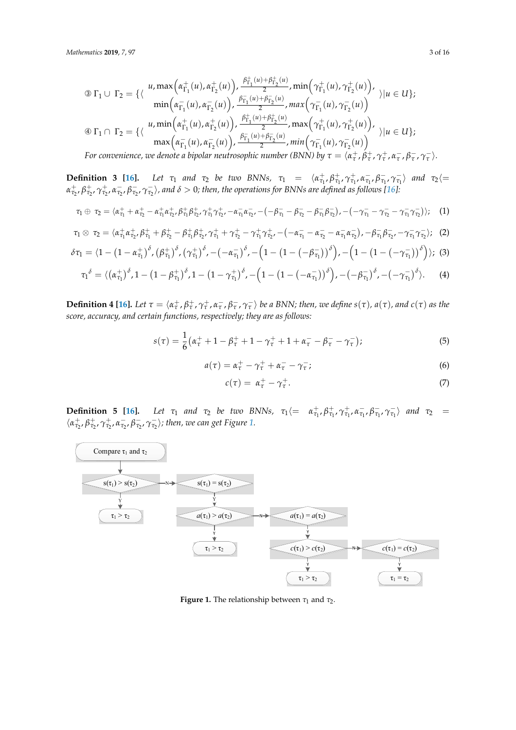$$
\begin{array}{ll}\n\textcircled{1} \Gamma_{1} \cup \Gamma_{2} = \{ \langle & u, \max\left(\alpha_{\Gamma_{1}}^{+}(u), \alpha_{\Gamma_{2}}^{+}(u)\right), \frac{\beta_{\Gamma_{1}}^{+}(u) + \beta_{\Gamma_{2}}^{+}(u)}{2}, \min\left(\gamma_{\Gamma_{1}}^{+}(u), \gamma_{\Gamma_{2}}^{+}(u)\right), \\ & \min\left(\alpha_{\Gamma_{1}}^{-}(u), \alpha_{\Gamma_{2}}^{-}(u)\right), \frac{\beta_{\Gamma_{1}}^{-}(u) + \beta_{\Gamma_{2}}^{-}(u)}{2}, \max\left(\gamma_{\Gamma_{1}}^{-}(u), \gamma_{\Gamma_{2}}^{-}(u)\right) \\\
\textcircled{1} \Gamma_{1} \cap \Gamma_{2} = \{ \langle & u, \min\left(\alpha_{\Gamma_{1}}^{+}(u), \alpha_{\Gamma_{2}}^{+}(u)\right), \frac{\beta_{\Gamma_{1}}^{+}(u) + \beta_{\Gamma_{2}}^{+}(u)}{2}, \max\left(\gamma_{\Gamma_{1}}^{+}(u), \gamma_{\Gamma_{2}}^{+}(u)\right), \\ & \max\left(\alpha_{\Gamma_{1}}^{-}(u), \alpha_{\Gamma_{2}}^{-}(u)\right), \frac{\beta_{\Gamma_{1}}^{-}(u) + \beta_{\Gamma_{2}}^{-}(u)}{2}, \min\left(\gamma_{\Gamma_{1}}^{-}(u), \gamma_{\Gamma_{2}}^{-}(u)\right) \end{array} \rangle | u \in U \};
$$

For convenience, we denote a bipolar neutrosophic number (BNN) by  $\tau=\langle\alpha_\tau^+,\beta_\tau^+,\gamma_\tau^+,\alpha_\tau^-,\beta_\tau^-,\gamma_\tau^- \rangle.$ 

**Definition 3** [\[16\]](#page-14-14). Let  $\tau_1$  and  $\tau_2$  be two BNNs,  $\tau_1 = \langle \alpha_{\tau_1}^+, \beta_{\tau_1}^+, \gamma_{\tau_1}^+, \alpha_{\tau_1}^-, \beta_{\tau_1}^-, \gamma_{\tau_1}^-\rangle$  and  $\tau_2$  =  $\alpha_{\tau_2}^+$ ,  $\beta_{\tau_2}^+$ ,  $\gamma_{\tau_2}^+$ ,  $\alpha_{\tau_2}^-$ ,  $\beta_{\tau_2}^-$ ,  $\gamma_{\tau_2}^-$ ), and  $\delta>0$ ; then, the operations for BNNs are defined as follows [\[16\]](#page-14-14):  $b = -\frac{1}{2}$  is  $a + b = 0$  in two BNNs, τ<sub>1</sub> = 0; then, the operations for BNNs are defined as follows [16]:

$$
\tau_1 \oplus \tau_2 = \langle \alpha_{\tau_1}^+ + \alpha_{\tau_2}^+ - \alpha_{\tau_1}^+ \alpha_{\tau_2}^+, \beta_{\tau_1}^+ \beta_{\tau_2}^+, \gamma_{\tau_1}^+ \gamma_{\tau_2}^+, -\alpha_{\tau_1}^- \alpha_{\tau_2}^-, -(-\beta_{\tau_1}^- - \beta_{\tau_2}^- - \beta_{\tau_1}^- \beta_{\tau_2}^-), -(-\gamma_{\tau_1}^- - \gamma_{\tau_2}^- - \gamma_{\tau_1}^- \gamma_{\tau_2}^-)); \quad (1)
$$

$$
\tau_1 \otimes \tau_2 = \langle \alpha_{\tau_1}^+ \alpha_{\tau_2}^+, \beta_{\tau_1}^+ + \beta_{\tau_2}^+ - \beta_{\tau_1}^+ \beta_{\tau_2}^+, \gamma_{\tau_1}^+ + \gamma_{\tau_2}^+ - \gamma_{\tau_1}^+ \gamma_{\tau_2}^+, -(-\alpha_{\tau_1}^- - \alpha_{\tau_2}^- - \alpha_{\tau_1}^- \alpha_{\tau_2}^-), -\beta_{\tau_1}^- \beta_{\tau_2}^-, -\gamma_{\tau_1}^- \gamma_{\tau_2}^- \rangle; \tag{2}
$$

$$
\delta \tau_1 = \langle 1 - (1 - \alpha_{\tau_1}^+)^\delta, (\beta_{\tau_1}^+)^\delta, (\gamma_{\tau_1}^+)^\delta, -(-\alpha_{\tau_1}^-)^\delta, -\left(1 - (1 - (-\beta_{\tau_1}^-))^\delta\right), -\left(1 - (1 - (-\gamma_{\tau_1}^-))^\delta\right) \rangle; \tag{3}
$$

$$
\tau_1^{\delta} = \langle (\alpha_{\tau_1}^+)^\delta, 1 - (1 - \beta_{\tau_1}^+)^\delta, 1 - (1 - \gamma_{\tau_1}^+)^\delta, -\left(1 - (1 - (-\alpha_{\tau_1}^-))^\delta\right), -(-\beta_{\tau_1}^-)^\delta, -(-\gamma_{\tau_1}^-)^\delta \rangle. \tag{4}
$$

**Definition 4 [\[16\]](#page-14-14).** Let  $\tau = \langle \alpha^+_\tau, \beta^+_\tau, \gamma^+_\tau, \alpha^-_\tau, \beta^-_\tau, \gamma^-_\tau \rangle$  be a BNN; then, we define  $s(\tau)$ ,  $a(\tau)$ , and  $c(\tau)$  as the *score, accuracy, and certain functions, respectively; they are as follows:* ା, ఛ  $\ddot{\phantom{a}}$ ି〉 *be a BNN; then, we define* ()*,* ()*, and* () *as the* 

$$
s(\tau) = \frac{1}{6} \left( \alpha_{\tau}^{+} + 1 - \beta_{\tau}^{+} + 1 - \gamma_{\tau}^{+} + 1 + \alpha_{\tau}^{-} - \beta_{\tau}^{-} - \gamma_{\tau}^{-} \right);
$$
\n(5)

$$
a(\tau) = \alpha_{\tau}^{+} - \gamma_{\tau}^{+} + \alpha_{\tau}^{-} - \gamma_{\tau}^{-};
$$
\n(6)

$$
c(\tau) = \alpha_{\tau}^+ - \gamma_{\tau}^+.
$$
 (7)

**Definition 5 [\[16\]](#page-14-14).** Let  $\tau_1$  and  $\tau_2$  be two BNNs,  $\tau_1 \langle = \alpha_{\tau_1}^+, \beta_{\tau_1}^+, \gamma_{\tau_1}^-, \alpha_{\tau_1}^-, \beta_{\tau_1}^-, \gamma_{\tau_1}^-\rangle$  and  $\tau_2$  $\langle \alpha_{\tau_2}^+, \beta_{\tau_2}^+, \gamma_{\tau_2}^+, \alpha_{\tau_2}^-, \beta_{\tau_2}^-, \gamma_{\tau_2}^- \rangle$ ; then, we can get Figure [1.](#page-2-0)

<span id="page-2-0"></span>

**Figure 1.** The relationship between  $\tau_1$  and  $\tau_2$ .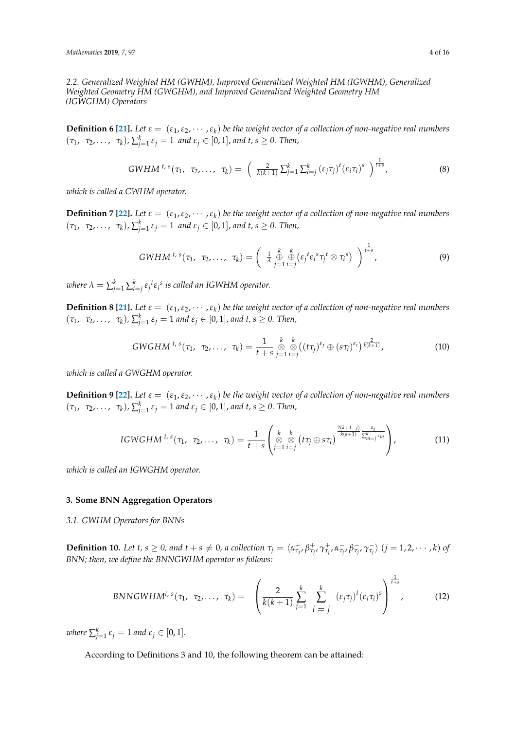*2.2. Generalized Weighted HM (GWHM), Improved Generalized Weighted HM (IGWHM), Generalized Weighted Geometry HM (GWGHM), and Improved Generalized Weighted Geometry HM (IGWGHM) Operators*

**Definition 6 [\[21\]](#page-15-2).** Let  $\varepsilon = (\varepsilon_1, \varepsilon_2, \cdots, \varepsilon_k)$  be the weight vector of a collection of non-negative real numbers  $(\tau_1, \ \tau_2, \ldots, \ \tau_k)$ ,  $\sum_{j=1}^k \varepsilon_j = 1$  and  $\varepsilon_j \in [0,1]$ , and  $t, s \geq 0$ . Then,

$$
GWHM^{t,s}(\tau_1, \tau_2, \ldots, \tau_k) = \left( \frac{2}{k(k+1)} \sum_{j=1}^k \sum_{i=j}^k (\varepsilon_j \tau_j)^t (\varepsilon_i \tau_i)^s \right)^{\frac{1}{t+s}}, \tag{8}
$$

*which is called a GWHM operator.*

**Definition 7 [\[22\]](#page-15-3).** Let  $\varepsilon = (\varepsilon_1, \varepsilon_2, \cdots, \varepsilon_k)$  be the weight vector of a collection of non-negative real numbers  $(\tau_1, \ \tau_2, \ldots, \ \tau_k)$ ,  $\sum_{j=1}^k \varepsilon_j = 1$  and  $\varepsilon_j \in [0,1]$ , and  $t, s \geq 0$ . Then,

$$
GWHM^{t,s}(\tau_1, \tau_2, \ldots, \tau_k) = \left( \begin{array}{cc} \frac{k}{\lambda} & \frac{k}{\theta} \\ \frac{\theta}{\lambda} & \frac{\theta}{j=1} \end{array} \left( \varepsilon_j^t \varepsilon_i^s \tau_j^t \otimes \tau_i^s \right) \right)^{\frac{1}{t+s}}, \tag{9}
$$

 $\omega$  *k*)  $\lambda = \sum_{j=1}^k \sum_{i=j}^k \varepsilon_j^{\ t} \varepsilon_i^{\ s}$  is called an IGWHM operator.

**Definition 8 [\[21\]](#page-15-2).** Let  $\varepsilon = (\varepsilon_1, \varepsilon_2, \cdots, \varepsilon_k)$  be the weight vector of a collection of non-negative real numbers  $(\tau_1, \ \tau_2, \ldots, \ \tau_k)$ ,  $\sum_{j=1}^k \varepsilon_j = 1$  and  $\varepsilon_j \in [0,1]$ , and  $t, s \geq 0$ . Then,

$$
GWGHM^{t,s}(\tau_1, \tau_2, \ldots, \tau_k) = \frac{1}{t+s} \underset{j=1}{\overset{k}{\otimes}} \underset{i=j}{\overset{k}{\otimes}} ((t\tau_j)^{\epsilon_j} \oplus (s\tau_i)^{\epsilon_i})^{\frac{2}{k(k+1)}}, \qquad (10)
$$

*which is called a GWGHM operator.*

**Definition 9 [\[22\]](#page-15-3).** Let  $\varepsilon = (\varepsilon_1, \varepsilon_2, \cdots, \varepsilon_k)$  be the weight vector of a collection of non-negative real numbers  $(\tau_1, \ \tau_2, \ldots, \ \tau_k)$ ,  $\sum_{j=1}^k \varepsilon_j = 1$  and  $\varepsilon_j \in [0,1]$ , and  $t, s \geq 0$ . Then,

IGWGHM<sup>t, s</sup>(
$$
\tau_1
$$
,  $\tau_2$ ,...,  $\tau_k$ ) =  $\frac{1}{t+s} \begin{pmatrix} k & k \\ \otimes & \otimes \\ j=1 & i=j \end{pmatrix} (t\tau_j \oplus s\tau_i) \frac{2(k+1-j)}{k(k+1)} \frac{\varepsilon_i}{\sum_{m=j}^k \varepsilon_m}$  (11)

*which is called an IGWGHM operator.*

# <span id="page-3-0"></span>**3. Some BNN Aggregation Operators**

*3.1. GWHM Operators for BNNs*

**Definition 10.** Let t,  $s \ge 0$ , and  $t + s \ne 0$ , a collection  $\tau_j = \langle \alpha^+_{\tau_j}, \beta^+_{\tau_j}, \gamma^+_{\tau_j}, \alpha^-_{\tau_j}, \beta^-_{\tau_j}, \gamma^-_{\tau_j} \rangle$   $(j = 1, 2, \cdots, k)$  of *BNN; then, we define the BNNGWHM operator as follows:*

$$
BNNGWHM^{t,s}(\tau_1, \tau_2, ..., \tau_k) = \left(\frac{2}{k(k+1)} \sum_{j=1}^k \sum_{i=j}^k (\varepsilon_j \tau_j)^t (\varepsilon_i \tau_i)^s\right)^{\frac{1}{t+s}}, \quad (12)
$$

 $$ 

According to Definitions 3 and 10, the following theorem can be attained: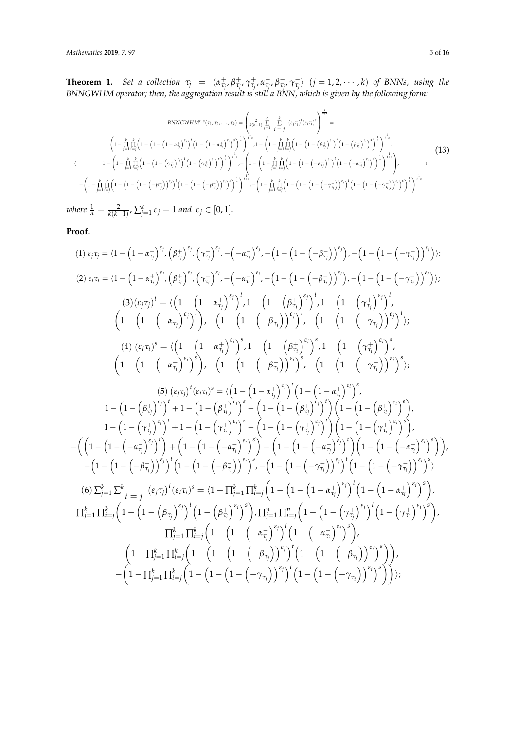**Theorem 1.** Set a collection  $\tau_j = \langle \alpha_{\tau_j}^+, \beta_{\tau_j}^+, \gamma_{\tau_j}^+, \alpha_{\tau_j}^-, \beta_{\tau_j}^-, \gamma_{\tau_j}^- \rangle$   $(j = 1, 2, \dots, k)$  of BNNs, using the *BNNGWHM operator; then, the aggregation result is still a BNN, which is given by the following form:*

$$
BNNGWHM^{t,s}(\tau_1, \tau_2, ..., \tau_k) = \left(\frac{2}{k(k+1)} \sum_{j=1}^k \sum_{i=j}^k (\varepsilon_j \tau_j)^t (\varepsilon_i \tau_i)^s\right)^{\frac{1}{t+s}} =
$$
\n
$$
\left(1 - \prod_{j=1}^k \prod_{i=j}^k \left(1 - \left(1 - \left(1 - \left(1 - \alpha_{\tau_j}^+\right)^{\varepsilon_j}\right)^t \left(1 - \left(1 - \alpha_{\tau_i}^+\right)^{\varepsilon_j}\right)^s\right)^{\frac{1}{s}}\right)^{\frac{1}{t+s}}, 1 - \left(1 - \prod_{j=1}^k \prod_{i=j}^k \left(1 - \left(1 - \left(\beta_{\tau_j}^+\right)^{\varepsilon_j}\right)^t \left(1 - \left(\beta_{\tau_j}^+\right)^{\varepsilon_j}\right)^{\frac{1}{s}}\right)^{\frac{1}{t+s}}, 1 - \left(1 - \prod_{j=1}^k \prod_{i=j}^k \left(1 - \left(1 - \left(\beta_{\tau_j}^+\right)^{\varepsilon_j}\right)^t \left(1 - \left(\beta_{\tau_j}^+\right)^{\varepsilon_j}\right)^{\frac{1}{s}}\right)^{\frac{1}{t+s}}, 1 - \left(1 - \prod_{j=1}^k \prod_{i=j}^k \left(1 - \left(1 - \left(-\alpha_{\tau_j}^-\right)^{\varepsilon_j}\right)^t \left(1 - \left(-\alpha_{\tau_j}^-\right)^{\varepsilon_j}\right)^{\frac{1}{s}}\right)^{\frac{1}{t+s}}\right), \quad 1 - \left(1 - \prod_{j=1}^k \prod_{i=j}^k \left(1 - \left(1 - \left(-\alpha_{\tau_j}^-\right)^t\right)^t \left(1 - \left(1 - \left(-\alpha_{\tau_j}^-\right)^t\right)^s\right)^{\frac{1}{s}}\right)^{\frac{1}{t+s}} - \left(1 - \prod_{j=1}^k \prod_{i=j}^k \left(1 - \left(1 - \left(-\alpha_{\tau_j}^-\right)^t\right)^t\right)^t \left(1 - \left(1 - \left(-\gamma_{\tau_j}^-\right)^t\right)^s\right)^{\frac{1}{s}}\right)^{\frac{1}{t+s}}\right)
$$
\n
$$
- \left(1 - \prod_{j=1}^k \prod_{i=j
$$

 $\nu$  *k*) *k*  $\frac{1}{\lambda} = \frac{2}{k(k+1)}$ ,  $\sum_{j=1}^{k} \varepsilon_j = 1$  and  $\varepsilon_j \in [0,1]$ .

**Proof.**

$$
(1) \epsilon_{j}\tau_{j} = (1 - (1 - \alpha_{\tau_{j}}^{+})^{s_{j}}, (\beta_{\tau_{j}}^{+})^{s_{j}}, (\gamma_{\tau_{j}}^{+})^{s_{j}}, -(-\alpha_{\overline{\tau_{j}}})^{s_{j}}, -(1 - (1 - (-\beta_{\overline{\tau_{j}}}))^{s_{j}}), -(1 - (1 - (-\gamma_{\overline{\tau_{j}}}))^{s_{j}}),
$$
\n
$$
(2) \epsilon_{i}\tau_{i} = (1 - (1 - \alpha_{\tau_{i}}^{+})^{s_{i}}, (\beta_{\tau_{i}}^{+})^{s_{i}}, (\gamma_{\tau_{i}}^{+})^{s_{i}}, -(-\alpha_{\overline{\tau_{i}}})^{s_{i}}, -(1 - (1 - (-\beta_{\overline{\tau_{j}}}))^{s_{i}}), -(1 - (1 - (-\gamma_{\overline{\tau_{j}}}))^{s_{i}}),
$$
\n
$$
(3) (\epsilon_{j}\tau_{j})^{t} = \langle (1 - (1 - \alpha_{\overline{\tau_{j}}})^{s_{j}})^{t}, 1 - (1 - (\beta_{\overline{\tau_{j}}})^{s_{j}})^{t}, 1 - (1 - (\gamma_{\overline{\tau_{j}}})^{s_{j}})^{t},
$$
\n
$$
-(1 - (1 - (-\alpha_{\overline{\tau_{j}}})^{s_{j}})^{t}), -(1 - (1 - (-\beta_{\overline{\tau_{j}}}))^{s_{j}})^{t}, -(1 - (1 - (-\gamma_{\overline{\tau_{j}}}))^{s_{j}})^{t},
$$
\n
$$
(4) (\epsilon_{i}\tau_{i})^{s} = \langle (1 - (1 - \alpha_{\overline{\tau_{j}}})^{s_{i}})^{s}, 1 - (1 - (\beta_{\overline{\tau_{j}}})^{s_{i}})^{s}, 1 - (1 - (\gamma_{\overline{\tau_{j}}})^{s_{i}})^{s},
$$
\n
$$
-(1 - (1 - (-\alpha_{\overline{\tau_{j}}})^{s_{i}})^{s}) - (1 - (1 - (-\beta_{\overline{\tau_{j}}}))^{s_{i}})^{s}, -(1 - (1 - (-\gamma_{\overline{\tau_{j}}}))^{s_{i}})^{s},
$$
\n
$$
(5) (\epsilon_{j}\tau_{j})^{t} (\epsilon_{i}\tau_{i})^{s} = \langle (1 - (1 - \alpha_{\overline{\tau_{j}}})^{s_{i}})^{s},
$$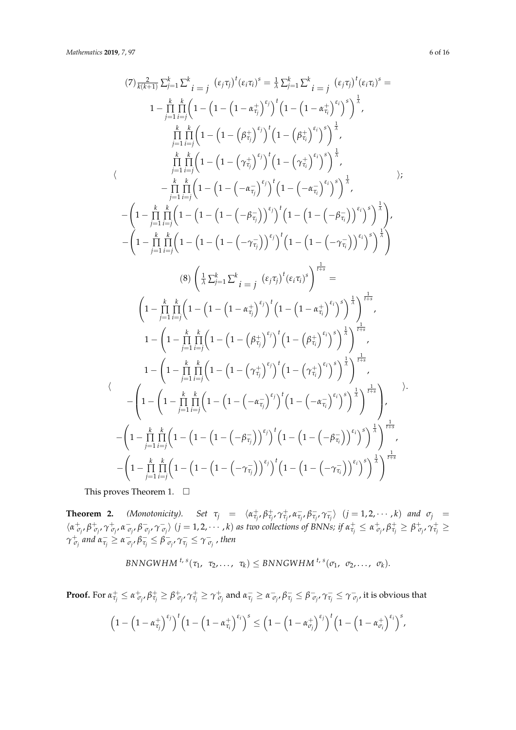$$
(7) \frac{2}{k(k+1)} \sum_{j=1}^{k} \sum_{i=j}^{k} (\epsilon_{j}\tau_{j})^{t} (\epsilon_{i}\tau_{i})^{s} = \frac{1}{\lambda} \sum_{j=1}^{k} \sum_{i=j}^{k} (\epsilon_{j}\tau_{j})^{t} (\epsilon_{i}\tau_{i})^{s} = 1 - \prod_{j=1}^{k} \prod_{i=j}^{k} (1 - (1 - (1 - \alpha_{\tau_{j}}^{+})^{c_{j}})^{t})^{t} (1 - (1 - \alpha_{\tau_{j}}^{+})^{c_{j}})^{s})^{\frac{1}{\lambda}},
$$
\n
$$
\frac{\prod_{j=1}^{k} \prod_{i=j}^{k} (1 - (1 - (\rho_{\tau_{j}}^{+})^{c_{j}})^{t})^{t} (1 - (\rho_{\tau_{i}}^{+})^{c_{j}})^{s})^{\frac{1}{\lambda}}}{\prod_{j=1}^{k} \prod_{i=j}^{k} (1 - (1 - (\gamma_{\tau_{j}}^{+})^{c_{j}})^{t})^{t} (1 - (\gamma_{\tau_{i}}^{+})^{c_{j}})^{s})^{\frac{1}{\lambda}}},
$$
\n
$$
-\frac{\prod_{j=1}^{k} \prod_{i=j}^{k} (1 - (1 - (-\alpha_{\tau_{j}}^{-})^{c_{j}})^{t})^{t} (1 - (-\alpha_{\tau_{i}}^{-})^{c_{i}})^{s})^{\frac{1}{\lambda}}}{(1 - \prod_{j=1}^{k} \prod_{i=j}^{k} (1 - (1 - (-\rho_{\tau_{i}}^{-})^{c_{j}})^{t})^{t})^{t} (1 - (1 - (-\rho_{\tau_{i}}^{-}))^{c_{i}})^{s})^{\frac{1}{\lambda}}},
$$
\n
$$
-(1 - \prod_{j=1}^{k} \prod_{i=j}^{k} (1 - (1 - (-(\gamma_{\tau_{i}}^{-})^{c_{j}})^{t})^{t})^{t} (1 - (1 - (-\gamma_{\tau_{i}}^{-}))^{c_{i}})^{s})^{\frac{1}{\lambda}}}
$$
\n
$$
(8) \left(\frac{1}{\lambda} \sum_{j=1}^{k} \sum_{i=j}^{k} (\epsilon_{j}\tau_{j})^{t} (\epsilon_{i}\tau_{i})^{s}\right)^{\frac{1}{\lambda}} = 1 - \left(1 - \prod_{j=1}^{k} \prod_{i=j}^{k} (1
$$

This proves Theorem 1.  $\Box$ 

**Theorem 2.** (Monotonicity). Set  $\tau_j = \langle \alpha_{\tau_j}^+, \beta_{\tau_j}^+, \alpha_{\tau_j}^-, \beta_{\tau_j}^-, \gamma_{\tau_j}^- \rangle$   $(j = 1, 2, \dots, k)$  and  $\sigma_j =$  $\langle \alpha_{\sigma_j}^+, \beta_{\sigma_j}^+, \gamma_{\sigma_j}^+, \alpha_{\sigma_j}^-, \beta_{\sigma_j}^-, \gamma_{\sigma_j}^-\rangle$   $(j=1,2,\cdots,k)$  as two collections of BNNs; if  $\alpha_{\tau_j}^+\leq \alpha_{\sigma_j}^+, \beta_{\tau_j}^+\geq \beta_{\sigma_j}^+, \gamma_{\tau_j}^+\geq$  $\gamma^+_{\sigma_j}$  and  $\alpha^-_{\tau_j} \geq \alpha^-_{\sigma_j}$ ,  $\beta^-_{\tau_j} \leq \beta^-_{\sigma_j}$ ,  $\gamma^-_{\tau_j} \leq \gamma^-_{\sigma_j}$  , then

$$
BNNGWHM^{t,s}(\tau_1, \tau_2, \ldots, \tau_k) \leq BNNGWHM^{t,s}(\sigma_1, \sigma_2, \ldots, \sigma_k).
$$

**Proof.** For  $\alpha^+_{\tau_j} \leq \alpha^+_{\sigma_j}, \beta^+_{\tau_j} \geq \beta^+_{\sigma_j}, \gamma^+_{\tau_j} \geq \gamma^+_{\sigma_j}$  and  $\alpha^-_{\tau_j} \geq \alpha^-_{\sigma_j}, \beta^-_{\tau_j} \leq \beta^-_{\sigma_{j'}}, \gamma^-_{\tau_j} \leq \gamma^-_{\sigma_{j'}},$  it is obvious that

$$
\left(1-\left(1-\alpha_{\tau_j}^+\right)^{\epsilon_j}\right)^t\left(1-\left(1-\alpha_{\tau_i}^+\right)^{\epsilon_i}\right)^s\leq \left(1-\left(1-\alpha_{\sigma_j}^+\right)^{\epsilon_j}\right)^t\left(1-\left(1-\alpha_{\sigma_i}^+\right)^{\epsilon_i}\right)^s,
$$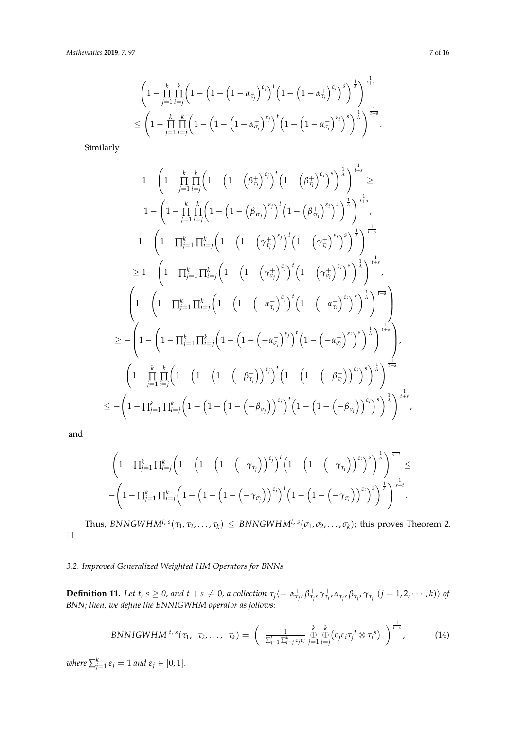$$
\begin{aligned}&\left(1-\prod\limits_{j=1}^k\prod\limits_{i=j}^k\left(1-\left(1-\left(1-\alpha_{\tau_j}^+\right)^{\varepsilon_j}\right)^t\left(1-\left(1-\alpha_{\tau_i}^+\right)^{\varepsilon_i}\right)^s\right)^\frac{1}{\lambda}\right)^\frac{1}{t+s}\\&\leq\left(1-\prod\limits_{j=1}^k\prod\limits_{i=j}^k\left(1-\left(1-\left(1-\alpha_{\sigma_j}^+\right)^{\varepsilon_j}\right)^t\right)^t\left(1-\left(1-\alpha_{\sigma_i}^+\right)^{\varepsilon_i}\right)^s\right)^\frac{1}{\lambda}\right)^\frac{1}{t+s}.\end{aligned}
$$

Similarly

$$
1 - \left(1 - \prod_{j=1}^{k} \prod_{i=j}^{k} \left(1 - \left(1 - \left(\beta_{\tau_{j}}^{+}\right)^{\epsilon_{j}}\right)^{t} \left(1 - \left(\beta_{\tau_{i}}^{+}\right)^{\epsilon_{i}}\right)^{s}\right)^{\frac{1}{s}}\right)^{\frac{1}{t+s}} \geq
$$
\n
$$
1 - \left(1 - \prod_{j=1}^{k} \prod_{i=j}^{k} \left(1 - \left(1 - \left(\beta_{\sigma_{j}}^{+}\right)^{\epsilon_{j}}\right)^{t} \left(1 - \left(\beta_{\sigma_{i}}^{+}\right)^{\epsilon_{i}}\right)^{s}\right)^{\frac{1}{s}}\right)^{\frac{1}{t+s}} ,
$$
\n
$$
1 - \left(1 - \prod_{j=1}^{k} \prod_{i=j}^{k} \left(1 - \left(1 - \left(\gamma_{\tau_{j}}^{+}\right)^{\epsilon_{j}}\right)^{t} \left(1 - \left(\gamma_{\tau_{i}}^{+}\right)^{\epsilon_{i}}\right)^{s}\right)^{\frac{1}{s}}\right)^{\frac{1}{t+s}} \\ \geq 1 - \left(1 - \prod_{j=1}^{k} \prod_{i=j}^{k} \left(1 - \left(1 - \left(\gamma_{\sigma_{j}}^{+}\right)^{\epsilon_{j}}\right)^{t} \left(1 - \left(\gamma_{\sigma_{i}}^{+}\right)^{\epsilon_{i}}\right)^{s}\right)^{\frac{1}{s}}\right)^{\frac{1}{t+s}} ,
$$
\n
$$
- \left(1 - \left(1 - \prod_{j=1}^{k} \prod_{i=j}^{k} \left(1 - \left(1 - \left(-\alpha_{\tau_{j}}^{-}\right)^{\epsilon_{j}}\right)^{t} \left(1 - \left(-\alpha_{\tau_{i}}^{-}\right)^{\epsilon_{i}}\right)^{s}\right)^{\frac{1}{s}}\right)^{\frac{1}{t+s}}\right)
$$
\n
$$
\geq - \left(1 - \left(1 - \prod_{j=1}^{k} \prod_{i=j}^{k} \left(1 - \left(1 - \left(-\alpha_{\sigma_{i}}^{-}\right)^{\epsilon_{i}}\right)^{t}\right)^{t} \left(1 - \left(-\alpha_{\sigma_{i}}^{-}\right)^{\epsilon_{i}}\right)^{s}\right)^{\frac{1}{s}}\right)^{\frac{1}{t+s}} - \left(1 - \prod_{j=1}^{
$$

and

$$
\begin{array}{l} -\bigg(1-\prod_{j=1}^{k}\prod_{i=j}^{k}\bigg(1-\big(1-\Big(1-\Big(-\gamma_{\tau_{j}}^{-}\Big)\Big)^{\epsilon_{j}}\big)^{t}\bigg(1-\Big(1-\Big(-\gamma_{\tau_{i}}^{-}\Big)\Big)^{\epsilon_{i}}\big)^{s}\bigg)^{\frac{1}{\lambda}}\bigg)^{\frac{1}{s+t}} \le \\ -\bigg(1-\prod_{j=1}^{k}\prod_{i=j}^{k}\bigg(1-\Big(1-\Big(1-\Big(-\gamma_{\sigma_{j}}^{-}\Big)\Big)^{\epsilon_{j}}\big)^{t}\bigg)^{t}\bigg(1-\Big(1-\Big(-\gamma_{\sigma_{i}}^{-}\Big)\Big)^{\epsilon_{i}}\big)^{s}\bigg)^{\frac{1}{\lambda}}\bigg)^{\frac{1}{s+t}} . \end{array}
$$

Thus,  $BNNGWHM^{t, s}(\tau_1, \tau_2, ..., \tau_k) \leq BNNGWHM^{t, s}(\sigma_1, \sigma_2, ..., \sigma_k)$ ; this proves Theorem 2.  $\Box$ 

# *3.2. Improved Generalized Weighted HM Operators for BNNs*

**Definition 11.** Let t,  $s \ge 0$ , and  $t + s \ne 0$ , a collection  $\tau_j \langle = \alpha^+_{\tau_j}, \beta^+_{\tau_j}, \gamma^+_{\tau_j}, \alpha^-_{\tau_j}, \beta^-_{\tau_j}, \gamma^-_{\tau_j} \ (j = 1, 2, \cdots, k) \rangle$  of *BNN; then, we define the BNNIGWHM operator as follows:*

$$
BNNIGWHM^{t,s}(\tau_1, \tau_2, \ldots, \tau_k) = \left(\begin{array}{cc} \frac{1}{\sum_{j=1}^k \sum_{i=j}^k \epsilon_j \epsilon_i} \bigoplus_{j=1}^k \xi_j \epsilon_i \tau_j t \otimes \tau_i \end{array}\right)^{\frac{1}{t+s}}, \qquad (14)
$$

 $where \sum_{j=1}^{k} \varepsilon_j = 1$  and  $\varepsilon_j \in [0,1].$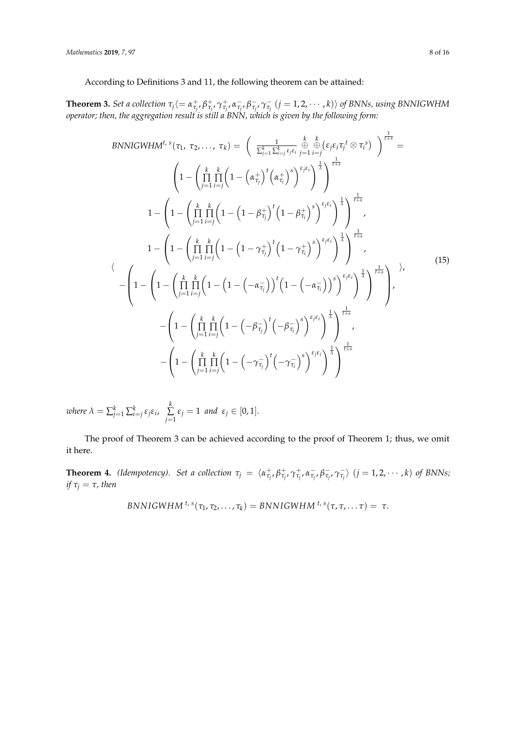According to Definitions 3 and 11, the following theorem can be attained:

**Theorem 3.** Set a collection  $\tau_j\langle=\alpha^+_{\tau_j},\beta^+_{\tau_j},\gamma^+_{\tau_j},\alpha^-_{\tau_j},\beta^-_{\tau_j},\gamma^-_{\tau_j}\ (j=1,2,\cdots,k)\rangle$  of BNNs, using BNNIGWHM *operator; then, the aggregation result is still a BNN, which is given by the following form:*

BNNIGWHM<sup>t, s</sup>(
$$
\tau_1, \tau_2, ..., \tau_k
$$
) =  $\left(\frac{1}{\sum_{j=1}^k \sum_{i=j}^k \epsilon_j \epsilon_i} \frac{k}{j=1} \frac{k}{i=j} (ε_j ε_i \tau_j^t \otimes \tau_i^s) \right)^{\frac{1}{t+s}}$   
\n
$$
\left(1 - \left(\prod_{j=1}^k \prod_{i=j}^k \left(1 - \left(\alpha_{\tau_j}^+\right)^t \left(\alpha_{\tau_i}^+\right)^s\right)^{\epsilon_j \epsilon_i}\right)^{\frac{1}{\tau}}\right)^{\frac{1}{t+s}}
$$
\n
$$
1 - \left(1 - \left(\prod_{j=1}^k \prod_{i=j}^k \left(1 - \left(1 - \beta_{\tau_j}^+\right)^t \left(1 - \beta_{\tau_i}^+\right)^s\right)^{\epsilon_j \epsilon_i}\right)^{\frac{1}{\tau}}\right)^{\frac{1}{t+s}},
$$
\n
$$
1 - \left(1 - \left(\prod_{j=1}^k \prod_{i=j}^k \left(1 - \left(1 - \gamma_{\tau_j}^+\right)^t \left(1 - \gamma_{\tau_i}^+\right)^s\right)^{\epsilon_j \epsilon_i}\right)^{\frac{1}{\tau}}\right)^{\frac{1}{t+s}},
$$
\n
$$
\left(1 - \left(1 - \left(\prod_{j=1}^k \prod_{i=j}^k \left(1 - \left(1 - \left(-\alpha_{\tau_j}^-\right)\right)^t \left(1 - \left(-\alpha_{\tau_i}^-\right)\right)^s\right)^{\epsilon_j \epsilon_i}\right)^{\frac{1}{\tau}}\right)^{\frac{1}{t+s}}\right),
$$
\n
$$
- \left(1 - \left(\prod_{j=1}^k \prod_{i=j}^k \left(1 - \left(-\beta_{\tau_j}^-\right)^t \left(-\beta_{\tau_i}^-\right)^s\right)^{\epsilon_j \epsilon_i}\right)^{\frac{1}{\tau}}\right)^{\frac{1}{t+s}},
$$
\n
$$
- \left(1 - \left(\prod_{j=1}^k \prod_{i=j}^k \left(1 - \left(-\gamma_{\tau_j}^-\right)^t \left(-\gamma_{\tau_j}^-\right)^s\right)^{\epsilon_j \epsilon_i}\right)^{\frac{1}{\tau}}\right)^{\frac{1}{t+s}}
$$
\n
$$
- \left(1 - \left(\prod_{j=
$$

where  $\lambda = \sum_{j=1}^k \sum_{i=j}^k \varepsilon_j \varepsilon_i$ ,  $\sum_{j=1}^k \sum_{j=1}^k \varepsilon_j$  $\sum_{j=1}$   $\varepsilon_j = 1$  *and*  $\varepsilon_j \in [0,1].$ 

The proof of Theorem 3 can be achieved according to the proof of Theorem 1; thus, we omit it here.

**Theorem 4.** (Idempotency). Set a collection  $\tau_j = \langle \alpha_{\tau_j}^+, \beta_{\tau_j}^+, \gamma_{\tau_j}^+, \alpha_{\tau_j}^-, \beta_{\tau_j}^-, \gamma_{\tau_j}^- \rangle$   $(j = 1, 2, \cdots, k)$  of BNNs; *if*  $\tau_j = \tau$ *, then* 

$$
BNNIGWHM^{t,s}(\tau_1,\tau_2,\ldots,\tau_k)=BNNIGWHM^{t,s}(\tau,\tau,\ldots\tau)=\tau.
$$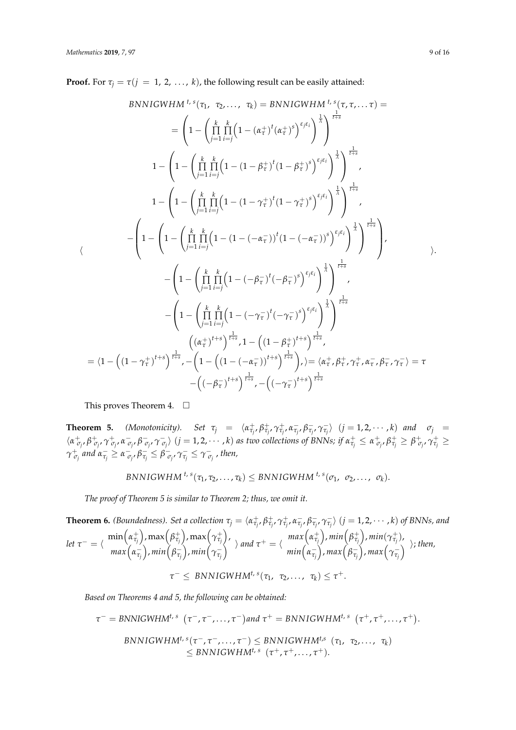**Proof.** For  $\tau_j = \tau(j = 1, 2, ..., k)$ , the following result can be easily attained:

BNNIGWHM <sup>t, s</sup>(
$$
\tau_1, \tau_2, ..., \tau_k
$$
) = BNNIGWHM <sup>t, s</sup>( $\tau, \tau, ... \tau$ ) =  
\n
$$
= \left(1 - \left(\prod_{j=1}^{k} \prod_{i=j}^{k} (1 - (\alpha_{\tau}^{+})^t (\alpha_{\tau}^{+})^s)^{\epsilon_{\cdot} \epsilon_{i}}\right)^{\frac{1}{\tau_{i}}}\right)^{\frac{1}{t+s}}
$$
\n
$$
1 - \left(1 - \left(\prod_{j=1}^{k} \prod_{i=j}^{k} (1 - (1 - \beta_{\tau}^{+})^t (1 - \beta_{\tau}^{+})^s)^{\epsilon_{\cdot} \epsilon_{i}}\right)^{\frac{1}{\tau_{i}}}\right)^{\frac{1}{t+s}}
$$
\n
$$
1 - \left(1 - \left(\prod_{j=1}^{k} \prod_{i=j}^{k} (1 - (1 - \gamma_{\tau}^{+})^t (1 - \gamma_{\tau}^{+})^s)^{\epsilon_{\cdot} \epsilon_{i}}\right)^{\frac{1}{\tau_{i}}}\right)^{\frac{1}{t+s}}
$$
\n
$$
- \left(1 - \left(\prod_{j=1}^{k} \prod_{i=j}^{k} (1 - (1 - (-\alpha_{\tau}^{-}))^t (1 - (-\alpha_{\tau}^{-}))^s)^{\epsilon_{\cdot} \epsilon_{i}}\right)^{\frac{1}{\tau_{i}}}\right)^{\frac{1}{t+s}}
$$
\n
$$
- \left(1 - \left(\prod_{j=1}^{k} \prod_{i=j}^{k} (1 - (-\beta_{\tau}^{-})^t (-\beta_{\tau}^{-})^s)^{\epsilon_{\cdot} \epsilon_{i}}\right)^{\frac{1}{\tau_{i}}}\right)^{\frac{1}{t+s}}
$$
\n
$$
- \left(1 - \left(\prod_{j=1}^{k} \prod_{i=j}^{k} (1 - (-\gamma_{\tau}^{-})^t (-\gamma_{\tau}^{-})^s)^{\epsilon_{\cdot} \epsilon_{i}}\right)^{\frac{1}{\tau_{i}}}\right)^{\frac{1}{t+s}}
$$
\n
$$
= \left(1 - \left((1 - \gamma_{\tau}^{+})^{t+s}\right)^{\frac{1}{t+s}}, 1 - \left((1 - \beta_{\tau}^{+})^{t+s}\right)^{\frac{1}{t+s}}\right), \geq \left(\alpha_{\tau}^{+}, \beta_{\tau}^{+}, \
$$

This proves Theorem 4.  $\square$ 

**Theorem 5.** (Monotonicity). Set  $\tau_j = \langle \alpha_{\tau_j}^+, \beta_{\tau_j}^+, \gamma_{\tau_j}^+, \alpha_{\tau_j}^-, \beta_{\tau_j}^-, \gamma_{\tau_j}^-\rangle$   $(j = 1, 2, \cdots, k)$  and  $\sigma_j =$  $\langle \alpha_{\sigma_j}^+, \beta_{\sigma_j}^+, \gamma_{\sigma_j}^+, \alpha_{\sigma_j}^-, \beta_{\sigma_j}^-, \gamma_{\sigma_j}^-\rangle$   $(j=1,2,\cdots,k)$  as two collections of BNNs; if  $\alpha_{\tau_j}^+\leq \alpha_{\sigma_j}^+, \beta_{\tau_j}^+\geq \beta_{\sigma_j}^+, \gamma_{\tau_j}^+\geq$  $\gamma^+_{\sigma_j}$  and  $\alpha^-_{\tau_j} \geq \alpha^-_{\sigma_j}$ ,  $\beta^-_{\tau_j} \leq \beta^-_{\sigma_j}$ ,  $\gamma^-_{\tau_j} \leq \gamma^-_{\sigma_j}$  , then,

$$
BNNIGWHM^{t,s}(\tau_1,\tau_2,\ldots,\tau_k) \leq BNNIGWHM^{t,s}(\sigma_1,\ \sigma_2,\ldots,\ \sigma_k).
$$

*The proof of Theorem 5 is similar to Theorem 2; thus, we omit it.*

**Theorem 6.** (Boundedness). Set a collection  $\tau_j = \langle \alpha_{\tau_j}^+, \beta_{\tau_j}^+, \gamma_{\tau_j}^+, \alpha_{\tau_j}^-, \beta_{\tau_j}^-, \gamma_{\tau_j}^- \rangle$   $(j = 1, 2, \cdots, k)$  of BNNs, and *let*  $\tau^- = \langle$  $\min\left(\alpha_{\tau_{j}}^{+}\right)$ ,  $\max\left(\beta_{\tau_{j}}^{+}\right)$ ,  $\max\left(\gamma_{\tau_{j}}^{+}\right)$ ,  $\max(\alpha_{\tau_j}^-)$ ,  $\min(\beta_{\tau_j}^-)$ ,  $\min(\gamma_{\tau_j}^-)$  and  $\tau^+ = \langle$ *max*  $\left( \alpha^+_{\tau_j} \right)$ ,  $min\left( \beta^+_{\tau_j} \right)$ ,  $min(\gamma^+_{\tau_j})$ ,  $min\left(\alpha_{\overline{\tau_j}}\right)$ ,  $max\left(\beta_{\overline{\tau_j}}\right)$ ,  $max\left(\gamma_{\overline{\tau_j}}\right)$ ; then,  $\tau^{-} \leq \text{BNNIGWHM}^{t, s}(\tau_1, \tau_2, \ldots, \tau_k) \leq \tau^{+}.$ 

*Based on Theorems 4 and 5, the following can be obtained:*

$$
\tau^{-} = \text{BNNIGWHM}^{t, s} \left( \tau^{-}, \tau^{-}, \ldots, \tau^{-} \right) \text{and } \tau^{+} = \text{BNNIGWHM}^{t, s} \left( \tau^{+}, \tau^{+}, \ldots, \tau^{+} \right).
$$
\n
$$
\text{BNNIGWHM}^{t, s} \left( \tau^{-}, \tau^{-}, \ldots, \tau^{-} \right) \leq \text{BNNIGWHM}^{t, s} \left( \tau_{1}, \tau_{2}, \ldots, \tau_{k} \right)
$$
\n
$$
\leq \text{BNNIGWHM}^{t, s} \left( \tau^{+}, \tau^{+}, \ldots, \tau^{+} \right).
$$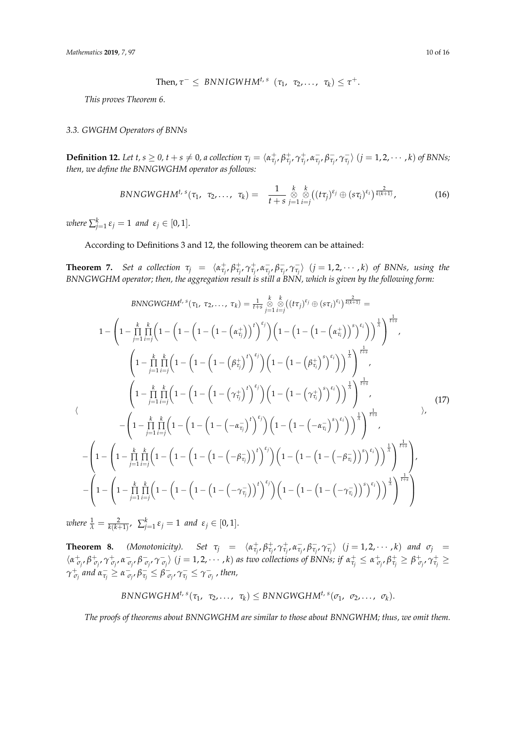Then, 
$$
\tau^{-} \leq BNNIGWHM^{t,s} (\tau_1, \tau_2, ..., \tau_k) \leq \tau^{+}
$$
.

*This proves Theorem 6.*

# *3.3. GWGHM Operators of BNNs*

**Definition 12.** Let  $t, s \ge 0$ ,  $t + s \ne 0$ , a collection  $\tau_j = \langle \alpha_{\tau_j}^+, \beta_{\tau_j}^+, \gamma_{\tau_j}^-, \alpha_{\tau_j}^-, \beta_{\tau_j}^-, \gamma_{\tau_j}^- \rangle$   $(j = 1, 2, \cdots, k)$  of BNNs; *then, we define the BNNGWGHM operator as follows:*

$$
BNNGWGHM^{t,s}(\tau_1, \tau_2, \ldots, \tau_k) = \frac{1}{t+s} \underset{j=1}{\overset{k}{\otimes}} \underset{i=j}{\overset{k}{\otimes}} ((t\tau_j)^{\epsilon_j} \oplus (s\tau_i)^{\epsilon_i})^{\frac{2}{k(k+1)}}, \qquad (16)
$$

 $$ 

#### According to Definitions 3 and 12, the following theorem can be attained:

**Theorem 7.** Set a collection  $\tau_j = \langle \alpha_{\tau_j}^+, \beta_{\tau_j}^+, \gamma_{\tau_j}^+, \alpha_{\tau_j}^-, \beta_{\tau_j}^-, \gamma_{\tau_j}^- \rangle$   $(j = 1, 2, \dots, k)$  of BNNs, using the *BNNGWGHM operator; then, the aggregation result is still a BNN, which is given by the following form:*

BNNGWGHM<sup>t, s</sup>(
$$
\tau_1, \tau_2, ..., \tau_k
$$
) =  $\frac{1}{t+s} \sum_{j=1}^{k} \sum_{i=j}^{k} ((t\tau_j)^{\epsilon_j} \oplus (s\tau_i)^{\epsilon_i})^{\frac{2}{k(k+1)}} =$   
\n
$$
1 - \left(1 - \prod_{j=1}^{k} \prod_{i=j}^{k} \left(1 - \left(1 - \left(1 - \left(1 - \left(\alpha_{\tau_j}^{+}\right)^{t}\right)^{\epsilon_j}\right)\right)\left(1 - \left(1 - \left(1 - \left(\alpha_{\tau_i}^{+}\right)^{s}\right)^{s_i}\right)\right)^{\frac{1}{k}}\right)^{\frac{1}{t+s}},
$$
\n
$$
\left(1 - \prod_{j=1}^{k} \prod_{i=j}^{k} \left(1 - \left(1 - \left(1 - \left(\beta_{\tau_j}^{+}\right)^{t}\right)^{\epsilon_j}\right)\left(1 - \left(1 - \left(\beta_{\tau_i}^{+}\right)^{s}\right)^{s_i}\right)\right)^{\frac{1}{k}}\right)^{\frac{1}{t+s}},
$$
\n
$$
\left(1 - \prod_{j=1}^{k} \prod_{i=j}^{k} \left(1 - \left(1 - \left(1 - \left(\gamma_{\tau_j}^{+}\right)^{t}\right)^{\epsilon_j}\right)\left(1 - \left(1 - \left(\gamma_{\tau_j}^{+}\right)^{s}\right)^{s_i}\right)\right)^{\frac{1}{k}}\right)^{\frac{1}{t+s}},
$$
\n
$$
- \left(1 - \prod_{j=1}^{k} \prod_{i=j}^{k} \left(1 - \left(1 - \left(1 - \left(-\alpha_{\tau_j}^{-}\right)^{t}\right)^{s_j}\right)\left(1 - \left(1 - \left(-\alpha_{\tau_i}^{-}\right)^{s}\right)^{s_i}\right)\right)^{\frac{1}{k}}\right)^{\frac{1}{t+s}},
$$
\n
$$
- \left(1 - \left(1 - \prod_{j=1}^{k} \prod_{i=j}^{k} \left(1 - \left(1 - \left(1 - \left(-\beta_{\tau_j}^{-}\right)\right)^{t}\right)^{s_j}\right)\left(1 - \left(1 - \left(-\beta_{\tau_j}^{-}\right)^{s}\right)^{s_i}\right)\right)^{\frac{1}{k}}\right)^{\frac{1}{t+s}},
$$
\n<

 $\nu$ *kere*  $\frac{1}{\lambda} = \frac{2}{k(k+1)}$ ,  $\sum_{j=1}^{k} \varepsilon_j = 1$  and  $\varepsilon_j \in [0,1].$ 

**Theorem 8.** (Monotonicity). Set  $\tau_j = \langle \alpha_{\tau_j}^+, \beta_{\tau_j}^+, \alpha_{\tau_j}^-, \beta_{\tau_j}^-, \gamma_{\tau_j}^- \rangle$   $(j = 1, 2, \dots, k)$  and  $\sigma_j =$  $\langle \alpha_{\sigma_j}^+, \beta_{\sigma_j}^+, \gamma_{\sigma_j}^+, \alpha_{\sigma_j}^-, \beta_{\sigma_j}^-, \gamma_{\sigma_j}^-\rangle$   $(j=1,2,\cdots,k)$  as two collections of BNNs; if  $\alpha_{\tau_j}^+\leq \alpha_{\sigma_j}^+, \beta_{\tau_j}^+\geq \beta_{\sigma_j}^+, \gamma_{\tau_j}^+\geq$  $\gamma^+_{\sigma_j}$  and  $\alpha^-_{\tau_j} \geq \alpha^-_{\sigma_j}$ ,  $\beta^-_{\tau_j} \leq \beta^-_{\sigma_j}$ ,  $\gamma^-_{\tau_j} \leq \gamma^-_{\sigma_j}$  , then,

$$
BNNGWGHM^{t,s}(\tau_1, \tau_2, \ldots, \tau_k) \leq BNNGWGHM^{t,s}(\sigma_1, \sigma_2, \ldots, \sigma_k).
$$

*The proofs of theorems about BNNGWGHM are similar to those about BNNGWHM; thus, we omit them.*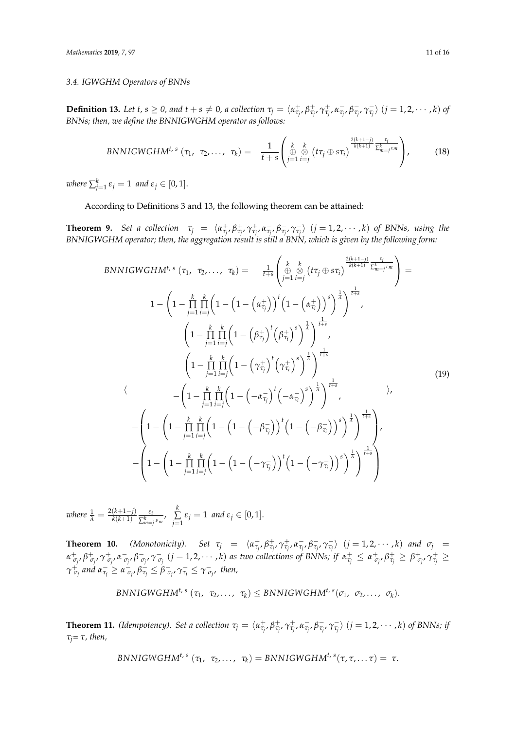# *3.4. IGWGHM Operators of BNNs*

**Definition 13.** Let t,  $s \ge 0$ , and  $t + s \ne 0$ , a collection  $\tau_j = \langle \alpha^+_{\tau_j}, \beta^+_{\tau_j}, \gamma^+_{\tau_j}, \alpha^-_{\tau_j}, \beta^-_{\tau_j}, \gamma^-_{\tau_j} \rangle$   $(j = 1, 2, \cdots, k)$  of *BNNs; then, we define the BNNIGWGHM operator as follows:*

$$
BNNIGWGHM^{t,s} (\tau_1, \tau_2, \ldots, \tau_k) = \frac{1}{t+s} \left( \bigoplus_{j=1}^k \bigotimes_{i=j}^k (t\tau_j \oplus s\tau_i) \frac{\frac{2(k+1-j)}{k(k+1)} \frac{\varepsilon_i}{\sum_{m=j}^k \varepsilon_m}} \right),
$$
(18)

 $\nu$  *where*  $\sum_{j=1}^{k} \varepsilon_j = 1$  and  $\varepsilon_j \in [0,1].$ 

According to Definitions 3 and 13, the following theorem can be attained:

**Theorem 9.** Set a collection  $\tau_j = \langle \alpha_{\tau_j}^+, \beta_{\tau_j}^+, \gamma_{\tau_j}^+, \alpha_{\tau_j}^-, \beta_{\tau_j}^-, \gamma_{\tau_j}^- \rangle$   $(j = 1, 2, \dots, k)$  of BNNs, using the *BNNIGWGHM operator; then, the aggregation result is still a BNN, which is given by the following form:*

BNNIGWGHM<sup>t, s</sup> 
$$
(\tau_1, \tau_2, ..., \tau_k) = \frac{1}{t+s} \left( \bigoplus_{j=1}^k \bigoplus_{i=j}^k (t\tau_j \oplus s\tau_i) \frac{2(k+1-j)}{k(k+1)} \frac{\epsilon_i}{\sum_{m=j}^k \epsilon_m}}{\sum_{j=1}^k \frac{1}{i=j} \left( 1 - \left( 1 - \left( \alpha \frac{+}{\tau_j} \right) \right)^t \left( 1 - \left( \alpha \frac{+}{\tau_i} \right) \right)^s \right)^{\frac{1}{\lambda}} \right)^{\frac{1}{t+s}}} \right)
$$
  
\n
$$
\left( 1 - \prod_{j=1}^k \prod_{i=j}^k \left( 1 - \left( \beta \frac{+}{\tau_j} \right)^t \left( \beta \frac{+}{\tau_i} \right)^s \right)^{\frac{1}{\lambda}} \right)^{\frac{1}{t+s}},
$$
\n
$$
\left( 1 - \prod_{j=1}^k \prod_{i=j}^k \left( 1 - \left( \gamma \frac{+}{\tau_j} \right)^t \left( \gamma \frac{+}{\tau_i} \right)^s \right)^{\frac{1}{\lambda}} \right)^{\frac{1}{t+s}} \right)
$$
\n
$$
\left( 1 - \left( 1 - \prod_{j=1}^k \prod_{i=j}^k \left( 1 - \left( -\alpha \frac{+}{\tau_j} \right)^t \left( -\alpha \frac{+}{\tau_i} \right)^s \right)^{\frac{1}{\lambda}} \right)^{\frac{1}{t+s}} \right),
$$
\n
$$
- \left( 1 - \left( 1 - \prod_{j=1}^k \prod_{i=j}^k \left( 1 - \left( 1 - \left( -\beta \frac{+}{\tau_j} \right) \right)^t \left( 1 - \left( -\beta \frac{+}{\tau_i} \right) \right)^s \right)^{\frac{1}{\lambda}} \right)^{\frac{1}{t+s}} \right)
$$
\n
$$
- \left( 1 - \left( 1 - \prod_{j=1}^k \prod_{i=j}^k \left( 1 - \left( 1 - \left( -\gamma \frac{+}{\tau_j} \right) \right)^t \left( 1 - \left( -\gamma \frac{+}{\tau_i} \right) \right)^s \right)^{\frac{1}{\lambda}} \right)^{\frac{1}{t+s}}
$$

*where*  $\frac{1}{\lambda} = \frac{2(k+1-j)}{k(k+1)}$  $\frac{k(k+1-j)}{k(k+1)} \frac{\varepsilon_i}{\sum_{m=1}^k}$  $\frac{\varepsilon_i}{\sum_{m=j}^k \varepsilon_m}$ ,  $\sum_{j=1}^k$  $\sum_{j=1}$   $\varepsilon_j = 1$  *and*  $\varepsilon_j \in [0,1].$ 

**Theorem 10.** (Monotonicity). Set  $\tau_j = \langle \alpha_{\tau_j}^+, \beta_{\tau_j}^+, \gamma_{\tau_j}^+, \alpha_{\tau_j}^-, \beta_{\tau_j}^-, \gamma_{\tau_j}^-\rangle$   $(j = 1, 2, \cdots, k)$  and  $\sigma_j =$  $\alpha^+_{\sigma_j}$ ,  $\beta^+_{\sigma_j}$ ,  $\gamma^+_{\sigma_j}$ ,  $\alpha^-_{\sigma_j}$ ,  $\beta^-_{\sigma_j}$ ,  $\gamma^-_{\sigma_j}$   $(j=1,2,\cdots,k)$  as two collections of BNNs; if  $\alpha^+_{\tau_j} \leq \alpha^+_{\sigma_j}$ ,  $\beta^+_{\tau_j} \geq \beta^+_{\sigma_j}$ ,  $\gamma^+_{\tau_j} \geq$  $\gamma_{\ \sigma_j}^+$  and  $\alpha_{\tau_j}^-\geq \alpha_{\ \sigma_{j'}}^ \beta_{\tau_j}^-\leq \beta_{\ \sigma_{j'}}^-\, \gamma_{\tau_j}^-\leq \gamma_{\ \sigma_{j'}}^-$  then,

$$
BNNIGWGHM^{t,s}(\tau_1, \tau_2, \ldots, \tau_k) \leq BNNIGWGHM^{t,s}(\sigma_1, \sigma_2, \ldots, \sigma_k).
$$

**Theorem 11.** (Idempotency). Set a collection  $\tau_j = \langle \alpha_{\tau_j}^+, \beta_{\tau_j}^+, \gamma_{\tau_j}^+, \alpha_{\tau_j}^-, \beta_{\tau_j}^-, \gamma_{\tau_j}^-\rangle$   $(j = 1, 2, \cdots, k)$  of BNNs; if *τj= τ, then,*

$$
BNNIGWGHM^{t,s}(\tau_1, \tau_2, \ldots, \tau_k) = BNNIGWGHM^{t,s}(\tau, \tau, \ldots \tau) = \tau.
$$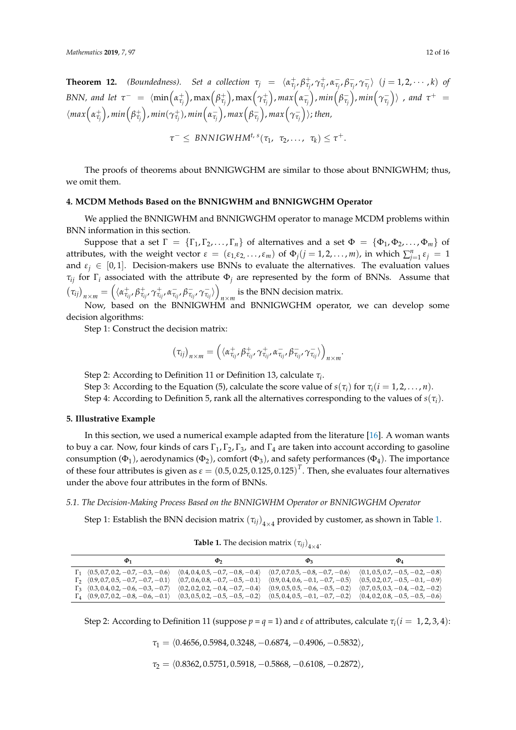**Theorem 12.** (Boundedness). Set a collection  $\tau_j = \langle \alpha_{\tau_j}^+, \beta_{\tau_j}^+, \gamma_{\tau_j}^+, \alpha_{\tau_j}^-, \beta_{\tau_j}^-, \gamma_{\tau_j}^-\rangle$   $(j = 1, 2, \cdots, k)$  of BNN, and let  $\tau^-~=~\langle\min\Bigl(\alpha^+_{\tau_j}\Bigr),\max\Bigl(\beta^+_{\tau_j}\Bigr),\max\Bigl(\gamma^+_{\tau_j}\Bigr),max\Bigl(\alpha^-_{\tau_j}\Bigr),min\Bigl(\beta^-_{\tau_j}\Bigr),min\Bigl(\gamma^-_{\tau_j}\Bigr)\rangle$  , and  $\tau^+~=~$  $\langle max\Big(\alpha_{\tau_j}^+\Big), min\Big(\beta_{\tau_j}^+\Big), min(\gamma_{\tau_j}^+), min\Big(\alpha_{\tau_j}^-\Big), max\Big(\beta_{\tau_j}^-\Big), max\Big(\gamma_{\tau_j}^-\Big)\rangle;$  then,

$$
\tau^{-} \leq BNNIGWHM^{t, s}(\tau_1, \tau_2, \ldots, \tau_k) \leq \tau^{+}.
$$

The proofs of theorems about BNNIGWGHM are similar to those about BNNIGWHM; thus, we omit them.

## <span id="page-11-0"></span>**4. MCDM Methods Based on the BNNIGWHM and BNNIGWGHM Operator**

We applied the BNNIGWHM and BNNIGWGHM operator to manage MCDM problems within BNN information in this section.

Suppose that a set  $\Gamma = {\{\Gamma_1, \Gamma_2, ..., \Gamma_n\}}$  of alternatives and a set  $\Phi = {\{\Phi_1, \Phi_2, ..., \Phi_m\}}$  of attributes, with the weight vector  $\varepsilon = (\varepsilon_1, \varepsilon_2, ..., \varepsilon_m)$  of  $\Phi_j(j = 1, 2, ..., m)$ , in which  $\sum_{j=1}^n \varepsilon_j = 1$ and  $\varepsilon_j \in [0,1]$ . Decision-makers use BNNs to evaluate the alternatives. The evaluation values *τij* for Γ*<sup>i</sup>* associated with the attribute Φ*<sup>j</sup>* are represented by the form of BNNs. Assume that  $\left(\tau_{ij}\right)_{n\times m} = \left(\langle \alpha_{\tau_{ij}}^{+}, \beta_{\tau_{ij}}^{+}, \gamma_{\tau_{ij}}^{+}, \alpha_{\tau_{ij}}^{-}, \beta_{\tau_{ij}}^{-}, \gamma_{\tau_{ij}}^{-}\rangle\right)$ is the BNN decision matrix.

Now, based on the BNNIGWHM and BNNIGWGHM operator, we can develop some decision algorithms:

Step 1: Construct the decision matrix:

$$
(\tau_{ij})_{n\times m} = \left(\langle \alpha^+_{\tau_{ij}}, \beta^+_{\tau_{ij}}, \gamma^+_{\tau_{ij}}, \alpha^-_{\tau_{ij}}, \beta^-_{\tau_{ij}}, \gamma^-_{\tau_{ij}}\rangle\right)_{n\times m}.
$$

Step 2: According to Definition 11 or Definition 13, calculate *τ<sup>i</sup>* .

Step 3: According to the Equation (5), calculate the score value of  $s(\tau_i)$  for  $\tau_i(i = 1, 2, ..., n)$ .

Step 4: According to Definition 5, rank all the alternatives corresponding to the values of  $s(\tau_i)$ .

# <span id="page-11-1"></span>**5. Illustrative Example**

In this section, we used a numerical example adapted from the literature [\[16\]](#page-14-14). A woman wants to buy a car. Now, four kinds of cars  $\Gamma_1$ ,  $\Gamma_2$ ,  $\Gamma_3$ , and  $\Gamma_4$  are taken into account according to gasoline consumption ( $\Phi_1$ ), aerodynamics ( $\Phi_2$ ), comfort ( $\Phi_3$ ), and safety performances ( $\Phi_4$ ). The importance of these four attributes is given as  $\epsilon = (0.5, 0.25, 0.125, 0.125)^T$ . Then, she evaluates four alternatives under the above four attributes in the form of BNNs.

## *5.1. The Decision-Making Process Based on the BNNIGWHM Operator or BNNIGWGHM Operator*

Step 1: Establish the BNN decision matrix  $(\tau_{ij})_{4\times4}$  provided by customer, as shown in Table [1.](#page-11-2)

**Table 1.** The decision matrix  $(\tau_{ij})$ <sub>4×4</sub>.

<span id="page-11-2"></span>

|                                                                                    | $\Phi$                              | $\mathbf{p}_3$                                                          | $\mathbf{\Phi}_4$                   |
|------------------------------------------------------------------------------------|-------------------------------------|-------------------------------------------------------------------------|-------------------------------------|
| $\Gamma_1$ $(0.5, 0.7, 0.2, -0.7, -0.3, -0.6)$ $(0.4, 0.4, 0.5, -0.7, -0.8, -0.4)$ |                                     | $(0.7, 0.7.0.5, -0.8, -0.7, -0.6)$                                      | $(0.1, 0.5, 0.7, -0.5, -0.2, -0.8)$ |
| $\Gamma_2$ $(0.9, 0.7, 0.5, -0.7, -0.7, -0.1)$                                     | $(0.7, 0.6, 0.8, -0.7, -0.5, -0.1)$ | $(0.9, 0.4, 0.6, -0.1, -0.7, -0.5)$                                     | $(0.5, 0.2, 0.7, -0.5, -0.1, -0.9)$ |
| $\Gamma_3$ $(0.3, 0.4, 0.2, -0.6, -0.3, -0.7)$                                     | $(0.2, 0.2, 0.2, -0.4, -0.7, -0.4)$ | $(0.9, 0.5, 0.5, -0.6, -0.5, -0.2)$ $(0.7, 0.5, 0.3, -0.4, -0.2, -0.2)$ |                                     |
| $\Gamma_4$ $(0.9, 0.7, 0.2, -0.8, -0.6, -0.1)$ $(0.3, 0.5, 0.2, -0.5, -0.5, -0.2)$ |                                     | $(0.5, 0.4, 0.5, -0.1, -0.7, -0.2)$ $(0.4, 0.2, 0.8, -0.5, -0.5, -0.6)$ |                                     |

Step 2: According to Definition 11 (suppose  $p = q = 1$ ) and  $\varepsilon$  of attributes, calculate  $\tau_i(i = 1, 2, 3, 4)$ :

*τ*<sub>1</sub> =  $\langle 0.4656, 0.5984, 0.3248, -0.6874, -0.4906, -0.5832 \rangle$ ,

 $\tau_2 = \langle 0.8362, 0.5751, 0.5918, -0.5868, -0.6108, -0.2872 \rangle$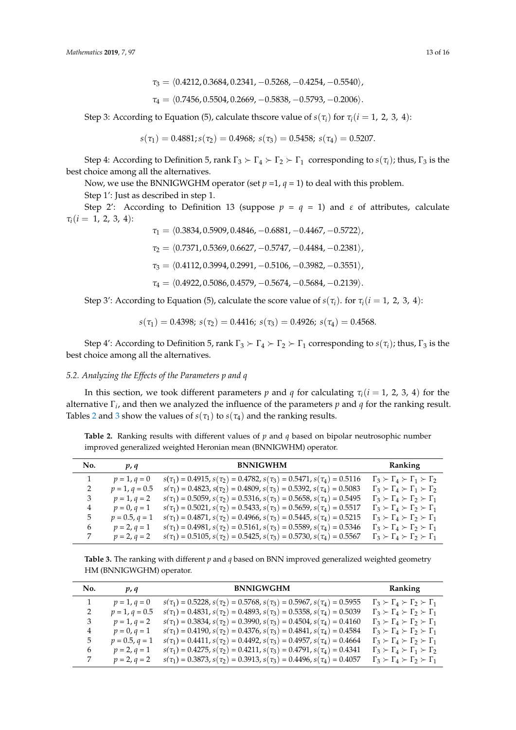Step 3: According to Equation (5), calculate thscore value of  $s(\tau_i)$  for  $\tau_i(i = 1, 2, 3, 4)$ :

$$
s(\tau_1)=0.4881; s(\tau_2)=0.4968; \ s(\tau_3)=0.5458; \ s(\tau_4)=0.5207.
$$

Step 4: According to Definition 5, rank  $\Gamma_3 \succ \Gamma_4 \succ \Gamma_2 \succ \Gamma_1$  corresponding to  $s(\tau_i)$ ; thus,  $\Gamma_3$  is the best choice among all the alternatives.

Now, we use the BNNIGWGHM operator (set  $p = 1$ ,  $q = 1$ ) to deal with this problem. Step 1': Just as described in step 1.

Step 2': According to Definition 13 (suppose  $p = q = 1$ ) and  $\varepsilon$  of attributes, calculate  $\tau_i(i = 1, 2, 3, 4)$ :

> *τ*<sub>1</sub> =  $\langle 0.3834, 0.5909, 0.4846, -0.6881, -0.4467, -0.5722 \rangle$ ,  $\tau_2 = \langle 0.7371, 0.5369, 0.6627, -0.5747, -0.4484, -0.2381 \rangle$  $\tau_3 = \langle 0.4112, 0.3994, 0.2991, -0.5106, -0.3982, -0.3551 \rangle$ *τ*<sub>4</sub> =  $(0.4922, 0.5086, 0.4579, -0.5674, -0.5684, -0.2139).$

Step 3': According to Equation (5), calculate the score value of  $s(\tau_i)$ . for  $\tau_i(i = 1, 2, 3, 4)$ :

$$
s(\tau_1) = 0.4398
$$
;  $s(\tau_2) = 0.4416$ ;  $s(\tau_3) = 0.4926$ ;  $s(\tau_4) = 0.4568$ .

Step 4': According to Definition 5, rank  $\Gamma_3 \succ \Gamma_4 \succ \Gamma_2 \succ \Gamma_1$  corresponding to  $s(\tau_i)$ ; thus,  $\Gamma_3$  is the best choice among all the alternatives.

# *5.2. Analyzing the Effects of the Parameters p and q*

In this section, we took different parameters *p* and *q* for calculating  $\tau_i$  (*i* = 1, 2, 3, 4) for the alternative Γ*<sup>i</sup>* , and then we analyzed the influence of the parameters *p* and *q* for the ranking result. Tables [2](#page-12-0) and [3](#page-12-1) show the values of  $s(\tau_1)$  to  $s(\tau_4)$  and the ranking results.

<span id="page-12-0"></span>**Table 2.** Ranking results with different values of *p* and *q* based on bipolar neutrosophic number improved generalized weighted Heronian mean (BNNIGWHM) operator.

| No. | p, q             | <b>BNNIGWHM</b>                                                                           | Ranking                                                 |
|-----|------------------|-------------------------------------------------------------------------------------------|---------------------------------------------------------|
|     | $p = 1, q = 0$   | $s(\tau_1) = 0.4915$ , $s(\tau_2) = 0.4782$ , $s(\tau_3) = 0.5471$ , $s(\tau_4) = 0.5116$ | $\Gamma_3 \succ \Gamma_4 \succ \Gamma_1 \succ \Gamma_2$ |
| 2   | $p = 1, q = 0.5$ | $s(\tau_1) = 0.4823$ , $s(\tau_2) = 0.4809$ , $s(\tau_3) = 0.5392$ , $s(\tau_4) = 0.5083$ | $\Gamma_3 \succ \Gamma_4 \succ \Gamma_1 \succ \Gamma_2$ |
| 3   | $p = 1, q = 2$   | $s(\tau_1) = 0.5059$ , $s(\tau_2) = 0.5316$ , $s(\tau_3) = 0.5658$ , $s(\tau_4) = 0.5495$ | $\Gamma_3 \succ \Gamma_4 \succ \Gamma_2 \succ \Gamma_1$ |
| 4   | $p = 0, q = 1$   | $s(\tau_1) = 0.5021$ , $s(\tau_2) = 0.5433$ , $s(\tau_3) = 0.5659$ , $s(\tau_4) = 0.5517$ | $\Gamma_3 \succ \Gamma_4 \succ \Gamma_2 \succ \Gamma_1$ |
| 5   | $p = 0.5, q = 1$ | $s(\tau_1) = 0.4871$ , $s(\tau_2) = 0.4966$ , $s(\tau_3) = 0.5445$ , $s(\tau_4) = 0.5215$ | $\Gamma_3 \succ \Gamma_4 \succ \Gamma_2 \succ \Gamma_1$ |
| 6   | $p = 2, q = 1$   | $s(\tau_1) = 0.4981, s(\tau_2) = 0.5161, s(\tau_3) = 0.5589, s(\tau_4) = 0.5346$          | $\Gamma_3 \succ \Gamma_4 \succ \Gamma_2 \succ \Gamma_1$ |
| 7   | $p = 2, q = 2$   | $s(\tau_1) = 0.5105$ , $s(\tau_2) = 0.5425$ , $s(\tau_3) = 0.5730$ , $s(\tau_4) = 0.5567$ | $\Gamma_3 \succ \Gamma_4 \succ \Gamma_2 \succ \Gamma_1$ |

<span id="page-12-1"></span>**Table 3.** The ranking with different *p* and *q* based on BNN improved generalized weighted geometry HM (BNNIGWGHM) operator.

| No. | p, q             | <b>BNNIGWGHM</b>                                                                          | Ranking                                                 |
|-----|------------------|-------------------------------------------------------------------------------------------|---------------------------------------------------------|
|     | $p = 1, q = 0$   | $s(\tau_1) = 0.5228$ , $s(\tau_2) = 0.5768$ , $s(\tau_3) = 0.5967$ , $s(\tau_4) = 0.5955$ | $\Gamma_3 \succ \Gamma_4 \succ \Gamma_2 \succ \Gamma_1$ |
| 2   | $p = 1, q = 0.5$ | $s(\tau_1) = 0.4831, s(\tau_2) = 0.4893, s(\tau_3) = 0.5358, s(\tau_4) = 0.5039$          | $\Gamma_3 \succ \Gamma_4 \succ \Gamma_2 \succ \Gamma_1$ |
| 3   | $p = 1, q = 2$   | $s(\tau_1) = 0.3834$ , $s(\tau_2) = 0.3990$ , $s(\tau_3) = 0.4504$ , $s(\tau_4) = 0.4160$ | $\Gamma_3 \succ \Gamma_4 \succ \Gamma_2 \succ \Gamma_1$ |
| 4   | $p = 0, q = 1$   | $s(\tau_1) = 0.4190, s(\tau_2) = 0.4376, s(\tau_3) = 0.4841, s(\tau_4) = 0.4584$          | $\Gamma_3 \succ \Gamma_4 \succ \Gamma_2 \succ \Gamma_1$ |
| 5   | $p = 0.5, q = 1$ | $s(\tau_1) = 0.4411$ , $s(\tau_2) = 0.4492$ , $s(\tau_3) = 0.4957$ , $s(\tau_4) = 0.4664$ | $\Gamma_3 \succ \Gamma_4 \succ \Gamma_2 \succ \Gamma_1$ |
| 6   | $p = 2, q = 1$   | $s(\tau_1) = 0.4275$ , $s(\tau_2) = 0.4211$ , $s(\tau_3) = 0.4791$ , $s(\tau_4) = 0.4341$ | $\Gamma_3 \succ \Gamma_4 \succ \Gamma_1 \succ \Gamma_2$ |
|     | $p = 2, q = 2$   | $s(\tau_1) = 0.3873$ , $s(\tau_2) = 0.3913$ , $s(\tau_3) = 0.4496$ , $s(\tau_4) = 0.4057$ | $\Gamma_3 \succ \Gamma_4 \succ \Gamma_2 \succ \Gamma_1$ |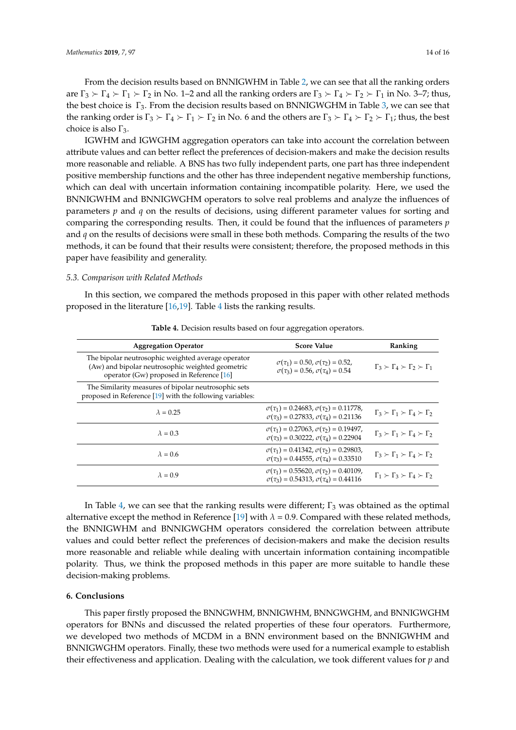From the decision results based on BNNIGWHM in Table [2,](#page-12-0) we can see that all the ranking orders are  $\Gamma_3 \succ \Gamma_4 \succ \Gamma_1 \succ \Gamma_2$  in No. 1–2 and all the ranking orders are  $\Gamma_3 \succ \Gamma_4 \succ \Gamma_2 \succ \Gamma_1$  in No. 3–7; thus, the best choice is  $\Gamma_3$ . From the decision results based on BNNIGWGHM in Table [3,](#page-12-1) we can see that the ranking order is  $\Gamma_3 \succ \Gamma_4 \succ \Gamma_1 \succ \Gamma_2$  in No. 6 and the others are  $\Gamma_3 \succ \Gamma_4 \succ \Gamma_2 \succ \Gamma_1$ ; thus, the best choice is also  $\Gamma_3$ .

IGWHM and IGWGHM aggregation operators can take into account the correlation between attribute values and can better reflect the preferences of decision-makers and make the decision results more reasonable and reliable. A BNS has two fully independent parts, one part has three independent positive membership functions and the other has three independent negative membership functions, which can deal with uncertain information containing incompatible polarity. Here, we used the BNNIGWHM and BNNIGWGHM operators to solve real problems and analyze the influences of parameters *p* and *q* on the results of decisions, using different parameter values for sorting and comparing the corresponding results. Then, it could be found that the influences of parameters *p* and *q* on the results of decisions were small in these both methods. Comparing the results of the two methods, it can be found that their results were consistent; therefore, the proposed methods in this paper have feasibility and generality.

# *5.3. Comparison with Related Methods*

In this section, we compared the methods proposed in this paper with other related methods proposed in the literature [\[16,](#page-14-14)[19\]](#page-15-1). Table [4](#page-13-1) lists the ranking results.

<span id="page-13-1"></span>

| <b>Aggregation Operator</b>                                                                                                                          | <b>Score Value</b>                                                                                                   | Ranking                                                 |
|------------------------------------------------------------------------------------------------------------------------------------------------------|----------------------------------------------------------------------------------------------------------------------|---------------------------------------------------------|
| The bipolar neutrosophic weighted average operator<br>(Aw) and bipolar neutrosophic weighted geometric<br>operator (Gw) proposed in Reference $[16]$ | $\sigma(\tau_1) = 0.50, \sigma(\tau_2) = 0.52,$<br>$\sigma(\tau_3) = 0.56$ , $\sigma(\tau_4) = 0.54$                 | $\Gamma_3 \succ \Gamma_4 \succ \Gamma_2 \succ \Gamma_1$ |
| The Similarity measures of bipolar neutrosophic sets<br>proposed in Reference [19] with the following variables:                                     |                                                                                                                      |                                                         |
| $\lambda = 0.25$                                                                                                                                     | $\sigma(\tau_1) = 0.24683, \sigma(\tau_2) = 0.11778,$<br>$\sigma(\tau_3) = 0.27833$ , $\sigma(\tau_4) = 0.21136$     | $\Gamma_3 \succ \Gamma_1 \succ \Gamma_4 \succ \Gamma_2$ |
| $\lambda = 0.3$                                                                                                                                      | $\sigma(\tau_1) = 0.27063$ , $\sigma(\tau_2) = 0.19497$ ,<br>$\sigma(\tau_3) = 0.30222$ , $\sigma(\tau_4) = 0.22904$ | $\Gamma_3 \succ \Gamma_1 \succ \Gamma_4 \succ \Gamma_2$ |
| $\lambda = 0.6$                                                                                                                                      | $\sigma(\tau_1) = 0.41342, \sigma(\tau_2) = 0.29803,$<br>$\sigma(\tau_3) = 0.44555$ , $\sigma(\tau_4) = 0.33510$     | $\Gamma_3 \succ \Gamma_1 \succ \Gamma_4 \succ \Gamma_2$ |
| $\lambda = 0.9$                                                                                                                                      | $\sigma(\tau_1) = 0.55620$ , $\sigma(\tau_2) = 0.40109$ ,<br>$\sigma(\tau_3) = 0.54313$ , $\sigma(\tau_4) = 0.44116$ | $\Gamma_1 \succ \Gamma_3 \succ \Gamma_4 \succ \Gamma_2$ |
|                                                                                                                                                      |                                                                                                                      |                                                         |

**Table 4.** Decision results based on four aggregation operators.

In Table [4,](#page-13-1) we can see that the ranking results were different;  $\Gamma_3$  was obtained as the optimal alternative except the method in Reference [\[19\]](#page-15-1) with  $\lambda = 0.9$ . Compared with these related methods, the BNNIGWHM and BNNIGWGHM operators considered the correlation between attribute values and could better reflect the preferences of decision-makers and make the decision results more reasonable and reliable while dealing with uncertain information containing incompatible polarity. Thus, we think the proposed methods in this paper are more suitable to handle these decision-making problems.

# <span id="page-13-0"></span>**6. Conclusions**

This paper firstly proposed the BNNGWHM, BNNIGWHM, BNNGWGHM, and BNNIGWGHM operators for BNNs and discussed the related properties of these four operators. Furthermore, we developed two methods of MCDM in a BNN environment based on the BNNIGWHM and BNNIGWGHM operators. Finally, these two methods were used for a numerical example to establish their effectiveness and application. Dealing with the calculation, we took different values for *p* and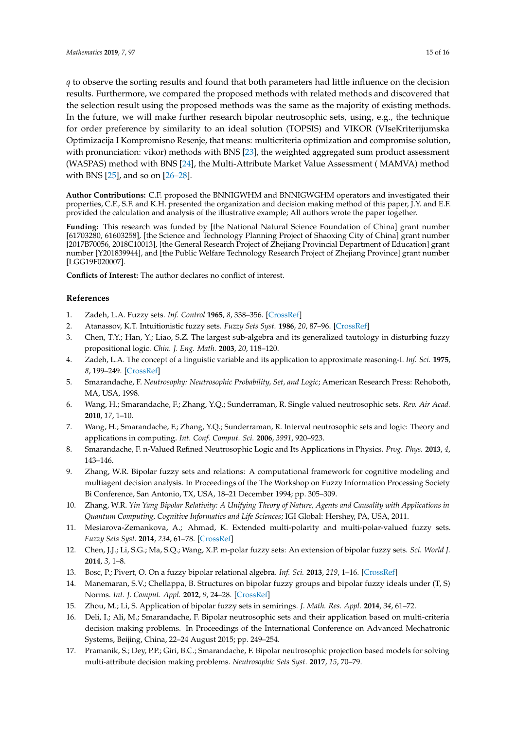*q* to observe the sorting results and found that both parameters had little influence on the decision results. Furthermore, we compared the proposed methods with related methods and discovered that the selection result using the proposed methods was the same as the majority of existing methods. In the future, we will make further research bipolar neutrosophic sets, using, e.g., the technique for order preference by similarity to an ideal solution (TOPSIS) and VIKOR (VIseKriterijumska Optimizacija I Kompromisno Resenje, that means: multicriteria optimization and compromise solution, with pronunciation: vikor) methods with BNS [\[23\]](#page-15-4), the weighted aggregated sum product assessment (WASPAS) method with BNS [\[24\]](#page-15-5), the Multi-Attribute Market Value Assessment ( MAMVA) method with BNS [\[25\]](#page-15-6), and so on [\[26](#page-15-7)[–28\]](#page-15-8).

**Author Contributions:** C.F. proposed the BNNIGWHM and BNNIGWGHM operators and investigated their properties, C.F., S.F. and K.H. presented the organization and decision making method of this paper, J.Y. and E.F. provided the calculation and analysis of the illustrative example; All authors wrote the paper together.

**Funding:** This research was funded by [the National Natural Science Foundation of China] grant number [61703280, 61603258], [the Science and Technology Planning Project of Shaoxing City of China] grant number [2017B70056, 2018C10013], [the General Research Project of Zhejiang Provincial Department of Education] grant number [Y201839944], and [the Public Welfare Technology Research Project of Zhejiang Province] grant number [LGG19F020007].

**Conflicts of Interest:** The author declares no conflict of interest.

# **References**

- <span id="page-14-0"></span>1. Zadeh, L.A. Fuzzy sets. *Inf. Control* **1965**, *8*, 338–356. [\[CrossRef\]](http://dx.doi.org/10.1016/S0019-9958(65)90241-X)
- <span id="page-14-1"></span>2. Atanassov, K.T. Intuitionistic fuzzy sets. *Fuzzy Sets Syst.* **1986**, *20*, 87–96. [\[CrossRef\]](http://dx.doi.org/10.1016/S0165-0114(86)80034-3)
- 3. Chen, T.Y.; Han, Y.; Liao, S.Z. The largest sub-algebra and its generalized tautology in disturbing fuzzy propositional logic. *Chin. J. Eng. Math.* **2003**, *20*, 118–120.
- <span id="page-14-2"></span>4. Zadeh, L.A. The concept of a linguistic variable and its application to approximate reasoning-I. *Inf. Sci.* **1975**, *8*, 199–249. [\[CrossRef\]](http://dx.doi.org/10.1016/0020-0255(75)90036-5)
- <span id="page-14-3"></span>5. Smarandache, F. *Neutrosophy: Neutrosophic Probability, Set, and Logic*; American Research Press: Rehoboth, MA, USA, 1998.
- <span id="page-14-4"></span>6. Wang, H.; Smarandache, F.; Zhang, Y.Q.; Sunderraman, R. Single valued neutrosophic sets. *Rev. Air Acad.* **2010**, *17*, 1–10.
- <span id="page-14-5"></span>7. Wang, H.; Smarandache, F.; Zhang, Y.Q.; Sunderraman, R. Interval neutrosophic sets and logic: Theory and applications in computing. *Int. Conf. Comput. Sci.* **2006**, *3991*, 920–923.
- <span id="page-14-6"></span>8. Smarandache, F. n-Valued Refined Neutrosophic Logic and Its Applications in Physics. *Prog. Phys.* **2013**, *4*, 143–146.
- <span id="page-14-7"></span>9. Zhang, W.R. Bipolar fuzzy sets and relations: A computational framework for cognitive modeling and multiagent decision analysis. In Proceedings of the The Workshop on Fuzzy Information Processing Society Bi Conference, San Antonio, TX, USA, 18–21 December 1994; pp. 305–309.
- <span id="page-14-8"></span>10. Zhang, W.R. *Yin Yang Bipolar Relativity: A Unifying Theory of Nature, Agents and Causality with Applications in Quantum Computing, Cognitive Informatics and Life Sciences*; IGI Global: Hershey, PA, USA, 2011.
- <span id="page-14-9"></span>11. Mesiarova-Zemankova, A.; Ahmad, K. Extended multi-polarity and multi-polar-valued fuzzy sets. *Fuzzy Sets Syst.* **2014**, *234*, 61–78. [\[CrossRef\]](http://dx.doi.org/10.1016/j.fss.2013.03.018)
- <span id="page-14-10"></span>12. Chen, J.J.; Li, S.G.; Ma, S.Q.; Wang, X.P. m-polar fuzzy sets: An extension of bipolar fuzzy sets. *Sci. World J.* **2014**, *3*, 1–8.
- <span id="page-14-11"></span>13. Bosc, P.; Pivert, O. On a fuzzy bipolar relational algebra. *Inf. Sci.* **2013**, *219*, 1–16. [\[CrossRef\]](http://dx.doi.org/10.1016/j.ins.2012.07.018)
- <span id="page-14-12"></span>14. Manemaran, S.V.; Chellappa, B. Structures on bipolar fuzzy groups and bipolar fuzzy ideals under (T, S) Norms. *Int. J. Comput. Appl.* **2012**, *9*, 24–28. [\[CrossRef\]](http://dx.doi.org/10.5120/1440-1948)
- <span id="page-14-13"></span>15. Zhou, M.; Li, S. Application of bipolar fuzzy sets in semirings. *J. Math. Res. Appl.* **2014**, *34*, 61–72.
- <span id="page-14-14"></span>16. Deli, I.; Ali, M.; Smarandache, F. Bipolar neutrosophic sets and their application based on multi-criteria decision making problems. In Proceedings of the International Conference on Advanced Mechatronic Systems, Beijing, China, 22–24 August 2015; pp. 249–254.
- <span id="page-14-15"></span>17. Pramanik, S.; Dey, P.P.; Giri, B.C.; Smarandache, F. Bipolar neutrosophic projection based models for solving multi-attribute decision making problems. *Neutrosophic Sets Syst.* **2017**, *15*, 70–79.